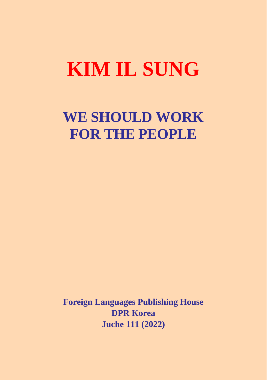# **KIM IL SUNG**

## **WE SHOULD WORK FOR THE PEOPLE**

**Foreign Languages Publishing House DPR Korea Juche 111 (2022)**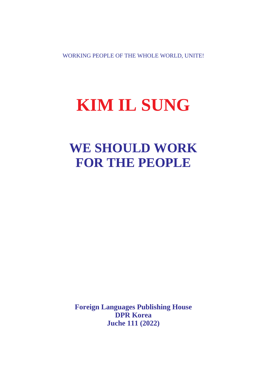WORKING PEOPLE OF THE WHOLE WORLD, UNITE!

## **KIM IL SUNG**

## **WE SHOULD WORK FOR THE PEOPLE**

**Foreign Languages Publishing House DPR Korea Juche 111 (2022)**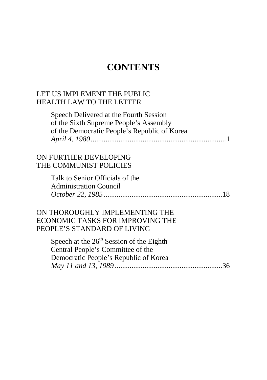### **CONTENTS**

#### <span id="page-2-0"></span>LET US IMPLEMENT THE PUBLIC HEALTH LAW TO THE LETTER

Speech Delivered at the Fourth Session of the Sixth Supreme People's Assembly of the Democratic People's Republic of Korea *April 4, 1980*[.........................................................................1](#page-3-0) 

#### ON FURTHER DEVELOPING THE COMMUNIST POLICIES

Talk to Senior Officials of the Administration Council *October 22, 1985* [................................................................18](#page-20-0) 

#### ON THOROUGHLY IMPLEMENTING THE [ECONOMIC TASKS FOR IMPROVING THE](#page-38-0)  PEOPLE'S STANDARD OF LIVING

Speech at the  $26<sup>th</sup>$  Session of the Eighth Central People's Committee of the Democratic People's Republic of Korea *May 11 and 13, 1989* ..........................................................36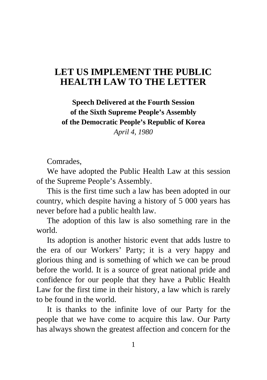### <span id="page-3-0"></span>**[LET US IMPLEMENT THE PUBLIC](#page-2-0)  HEALTH LAW TO THE LETTER**

**Speech Delivered at the Fourth Session of the Sixth Supreme People's Assembly of the Democratic People's Republic of Korea** 

*April 4, 1980*

Comrades,

We have adopted the Public Health Law at this session of the Supreme People's Assembly.

This is the first time such a law has been adopted in our country, which despite having a history of 5 000 years has never before had a public health law.

The adoption of this law is also something rare in the world.

Its adoption is another historic event that adds lustre to the era of our Workers' Party; it is a very happy and glorious thing and is something of which we can be proud before the world. It is a source of great national pride and confidence for our people that they have a Public Health Law for the first time in their history, a law which is rarely to be found in the world.

It is thanks to the infinite love of our Party for the people that we have come to acquire this law. Our Party has always shown the greatest affection and concern for the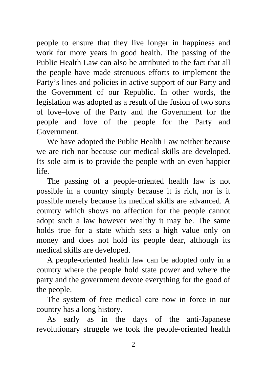people to ensure that they live longer in happiness and work for more years in good health. The passing of the Public Health Law can also be attributed to the fact that all the people have made strenuous efforts to implement the Party's lines and policies in active support of our Party and the Government of our Republic. In other words, the legislation was adopted as a result of the fusion of two sorts of love–love of the Party and the Government for the people and love of the people for the Party and Government.

We have adopted the Public Health Law neither because we are rich nor because our medical skills are developed. Its sole aim is to provide the people with an even happier life.

The passing of a people-oriented health law is not possible in a country simply because it is rich, nor is it possible merely because its medical skills are advanced. A country which shows no affection for the people cannot adopt such a law however wealthy it may be. The same holds true for a state which sets a high value only on money and does not hold its people dear, although its medical skills are developed.

A people-oriented health law can be adopted only in a country where the people hold state power and where the party and the government devote everything for the good of the people.

The system of free medical care now in force in our country has a long history.

As early as in the days of the anti-Japanese revolutionary struggle we took the people-oriented health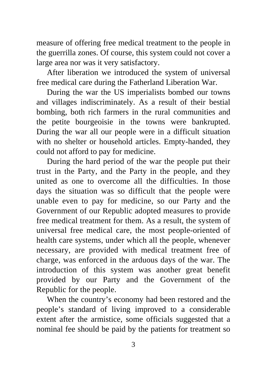measure of offering free medical treatment to the people in the guerrilla zones. Of course, this system could not cover a large area nor was it very satisfactory.

After liberation we introduced the system of universal free medical care during the Fatherland Liberation War.

During the war the US imperialists bombed our towns and villages indiscriminately. As a result of their bestial bombing, both rich farmers in the rural communities and the petite bourgeoisie in the towns were bankrupted. During the war all our people were in a difficult situation with no shelter or household articles. Empty-handed, they could not afford to pay for medicine.

During the hard period of the war the people put their trust in the Party, and the Party in the people, and they united as one to overcome all the difficulties. In those days the situation was so difficult that the people were unable even to pay for medicine, so our Party and the Government of our Republic adopted measures to provide free medical treatment for them. As a result, the system of universal free medical care, the most people-oriented of health care systems, under which all the people, whenever necessary, are provided with medical treatment free of charge, was enforced in the arduous days of the war. The introduction of this system was another great benefit provided by our Party and the Government of the Republic for the people.

When the country's economy had been restored and the people's standard of living improved to a considerable extent after the armistice, some officials suggested that a nominal fee should be paid by the patients for treatment so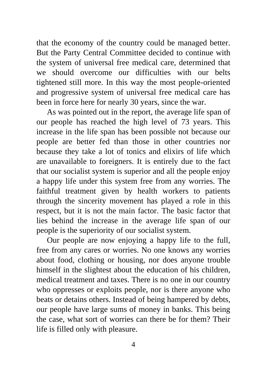that the economy of the country could be managed better. But the Party Central Committee decided to continue with the system of universal free medical care, determined that we should overcome our difficulties with our belts tightened still more. In this way the most people-oriented and progressive system of universal free medical care has been in force here for nearly 30 years, since the war.

As was pointed out in the report, the average life span of our people has reached the high level of 73 years. This increase in the life span has been possible not because our people are better fed than those in other countries nor because they take a lot of tonics and elixirs of life which are unavailable to foreigners. It is entirely due to the fact that our socialist system is superior and all the people enjoy a happy life under this system free from any worries. The faithful treatment given by health workers to patients through the sincerity movement has played a role in this respect, but it is not the main factor. The basic factor that lies behind the increase in the average life span of our people is the superiority of our socialist system.

Our people are now enjoying a happy life to the full, free from any cares or worries. No one knows any worries about food, clothing or housing, nor does anyone trouble himself in the slightest about the education of his children, medical treatment and taxes. There is no one in our country who oppresses or exploits people, nor is there anyone who beats or detains others. Instead of being hampered by debts, our people have large sums of money in banks. This being the case, what sort of worries can there be for them? Their life is filled only with pleasure.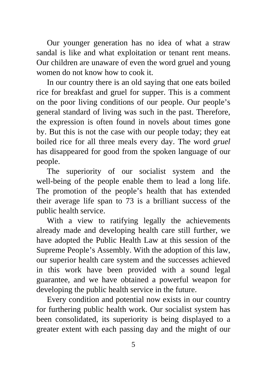Our younger generation has no idea of what a straw sandal is like and what exploitation or tenant rent means. Our children are unaware of even the word gruel and young women do not know how to cook it.

In our country there is an old saying that one eats boiled rice for breakfast and gruel for supper. This is a comment on the poor living conditions of our people. Our people's general standard of living was such in the past. Therefore, the expression is often found in novels about times gone by. But this is not the case with our people today; they eat boiled rice for all three meals every day. The word *gruel* has disappeared for good from the spoken language of our people.

The superiority of our socialist system and the well-being of the people enable them to lead a long life. The promotion of the people's health that has extended their average life span to 73 is a brilliant success of the public health service.

With a view to ratifying legally the achievements already made and developing health care still further, we have adopted the Public Health Law at this session of the Supreme People's Assembly. With the adoption of this law, our superior health care system and the successes achieved in this work have been provided with a sound legal guarantee, and we have obtained a powerful weapon for developing the public health service in the future.

Every condition and potential now exists in our country for furthering public health work. Our socialist system has been consolidated, its superiority is being displayed to a greater extent with each passing day and the might of our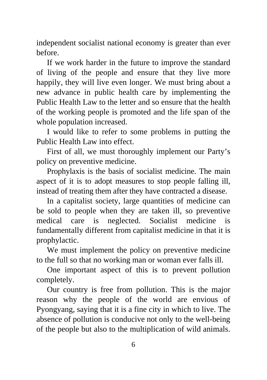independent socialist national economy is greater than ever before.

If we work harder in the future to improve the standard of living of the people and ensure that they live more happily, they will live even longer. We must bring about a new advance in public health care by implementing the Public Health Law to the letter and so ensure that the health of the working people is promoted and the life span of the whole population increased.

I would like to refer to some problems in putting the Public Health Law into effect.

First of all, we must thoroughly implement our Party's policy on preventive medicine.

Prophylaxis is the basis of socialist medicine. The main aspect of it is to adopt measures to stop people falling ill, instead of treating them after they have contracted a disease.

In a capitalist society, large quantities of medicine can be sold to people when they are taken ill, so preventive medical care is neglected. Socialist medicine is fundamentally different from capitalist medicine in that it is prophylactic.

We must implement the policy on preventive medicine to the full so that no working man or woman ever falls ill.

One important aspect of this is to prevent pollution completely.

Our country is free from pollution. This is the major reason why the people of the world are envious of Pyongyang, saying that it is a fine city in which to live. The absence of pollution is conducive not only to the well-being of the people but also to the multiplication of wild animals.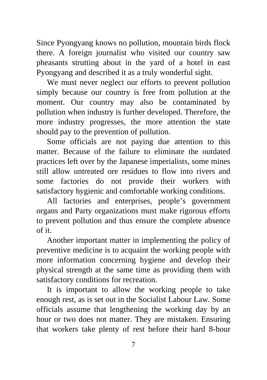Since Pyongyang knows no pollution, mountain birds flock there. A foreign journalist who visited our country saw pheasants strutting about in the yard of a hotel in east Pyongyang and described it as a truly wonderful sight.

We must never neglect our efforts to prevent pollution simply because our country is free from pollution at the moment. Our country may also be contaminated by pollution when industry is further developed. Therefore, the more industry progresses, the more attention the state should pay to the prevention of pollution.

Some officials are not paying due attention to this matter. Because of the failure to eliminate the outdated practices left over by the Japanese imperialists, some mines still allow untreated ore residues to flow into rivers and some factories do not provide their workers with satisfactory hygienic and comfortable working conditions.

All factories and enterprises, people's government organs and Party organizations must make rigorous efforts to prevent pollution and thus ensure the complete absence of it.

Another important matter in implementing the policy of preventive medicine is to acquaint the working people with more information concerning hygiene and develop their physical strength at the same time as providing them with satisfactory conditions for recreation.

It is important to allow the working people to take enough rest, as is set out in the Socialist Labour Law. Some officials assume that lengthening the working day by an hour or two does not matter. They are mistaken. Ensuring that workers take plenty of rest before their hard 8-hour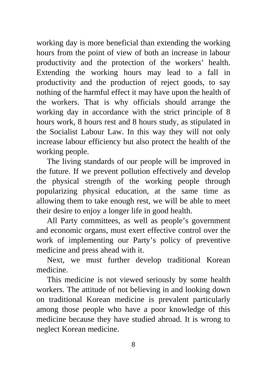working day is more beneficial than extending the working hours from the point of view of both an increase in labour productivity and the protection of the workers' health. Extending the working hours may lead to a fall in productivity and the production of reject goods, to say nothing of the harmful effect it may have upon the health of the workers. That is why officials should arrange the working day in accordance with the strict principle of 8 hours work, 8 hours rest and 8 hours study, as stipulated in the Socialist Labour Law. In this way they will not only increase labour efficiency but also protect the health of the working people.

The living standards of our people will be improved in the future. If we prevent pollution effectively and develop the physical strength of the working people through popularizing physical education, at the same time as allowing them to take enough rest, we will be able to meet their desire to enjoy a longer life in good health.

All Party committees, as well as people's government and economic organs, must exert effective control over the work of implementing our Party's policy of preventive medicine and press ahead with it.

Next, we must further develop traditional Korean medicine.

This medicine is not viewed seriously by some health workers. The attitude of not believing in and looking down on traditional Korean medicine is prevalent particularly among those people who have a poor knowledge of this medicine because they have studied abroad. It is wrong to neglect Korean medicine.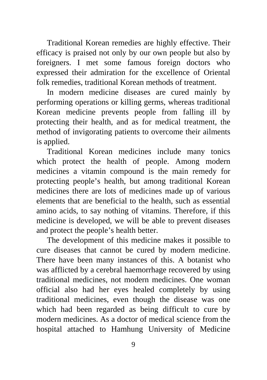Traditional Korean remedies are highly effective. Their efficacy is praised not only by our own people but also by foreigners. I met some famous foreign doctors who expressed their admiration for the excellence of Oriental folk remedies, traditional Korean methods of treatment.

In modern medicine diseases are cured mainly by performing operations or killing germs, whereas traditional Korean medicine prevents people from falling ill by protecting their health, and as for medical treatment, the method of invigorating patients to overcome their ailments is applied.

Traditional Korean medicines include many tonics which protect the health of people. Among modern medicines a vitamin compound is the main remedy for protecting people's health, but among traditional Korean medicines there are lots of medicines made up of various elements that are beneficial to the health, such as essential amino acids, to say nothing of vitamins. Therefore, if this medicine is developed, we will be able to prevent diseases and protect the people's health better.

The development of this medicine makes it possible to cure diseases that cannot be cured by modern medicine. There have been many instances of this. A botanist who was afflicted by a cerebral haemorrhage recovered by using traditional medicines, not modern medicines. One woman official also had her eyes healed completely by using traditional medicines, even though the disease was one which had been regarded as being difficult to cure by modern medicines. As a doctor of medical science from the hospital attached to Hamhung University of Medicine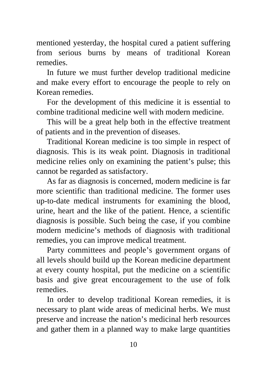mentioned yesterday, the hospital cured a patient suffering from serious burns by means of traditional Korean remedies.

In future we must further develop traditional medicine and make every effort to encourage the people to rely on Korean remedies.

For the development of this medicine it is essential to combine traditional medicine well with modern medicine.

This will be a great help both in the effective treatment of patients and in the prevention of diseases.

Traditional Korean medicine is too simple in respect of diagnosis. This is its weak point. Diagnosis in traditional medicine relies only on examining the patient's pulse; this cannot be regarded as satisfactory.

As far as diagnosis is concerned, modern medicine is far more scientific than traditional medicine. The former uses up-to-date medical instruments for examining the blood, urine, heart and the like of the patient. Hence, a scientific diagnosis is possible. Such being the case, if you combine modern medicine's methods of diagnosis with traditional remedies, you can improve medical treatment.

Party committees and people's government organs of all levels should build up the Korean medicine department at every county hospital, put the medicine on a scientific basis and give great encouragement to the use of folk remedies.

In order to develop traditional Korean remedies, it is necessary to plant wide areas of medicinal herbs. We must preserve and increase the nation's medicinal herb resources and gather them in a planned way to make large quantities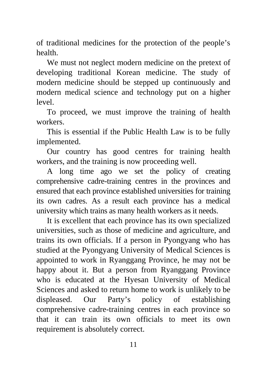of traditional medicines for the protection of the people's health.

We must not neglect modern medicine on the pretext of developing traditional Korean medicine. The study of modern medicine should be stepped up continuously and modern medical science and technology put on a higher level.

To proceed, we must improve the training of health workers.

This is essential if the Public Health Law is to be fully implemented.

Our country has good centres for training health workers, and the training is now proceeding well.

A long time ago we set the policy of creating comprehensive cadre-training centres in the provinces and ensured that each province established universities for training its own cadres. As a result each province has a medical university which trains as many health workers as it needs.

It is excellent that each province has its own specialized universities, such as those of medicine and agriculture, and trains its own officials. If a person in Pyongyang who has studied at the Pyongyang University of Medical Sciences is appointed to work in Ryanggang Province, he may not be happy about it. But a person from Ryanggang Province who is educated at the Hyesan University of Medical Sciences and asked to return home to work is unlikely to be displeased. Our Party's policy of establishing comprehensive cadre-training centres in each province so that it can train its own officials to meet its own requirement is absolutely correct.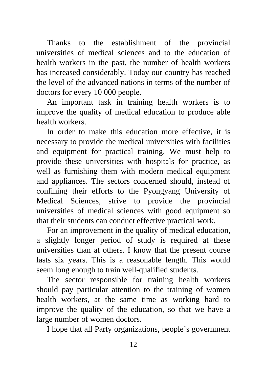Thanks to the establishment of the provincial universities of medical sciences and to the education of health workers in the past, the number of health workers has increased considerably. Today our country has reached the level of the advanced nations in terms of the number of doctors for every 10 000 people.

An important task in training health workers is to improve the quality of medical education to produce able health workers.

In order to make this education more effective, it is necessary to provide the medical universities with facilities and equipment for practical training. We must help to provide these universities with hospitals for practice, as well as furnishing them with modern medical equipment and appliances. The sectors concerned should, instead of confining their efforts to the Pyongyang University of Medical Sciences, strive to provide the provincial universities of medical sciences with good equipment so that their students can conduct effective practical work.

For an improvement in the quality of medical education, a slightly longer period of study is required at these universities than at others. I know that the present course lasts six years. This is a reasonable length. This would seem long enough to train well-qualified students.

The sector responsible for training health workers should pay particular attention to the training of women health workers, at the same time as working hard to improve the quality of the education, so that we have a large number of women doctors.

I hope that all Party organizations, people's government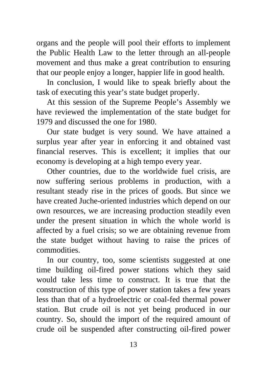organs and the people will pool their efforts to implement the Public Health Law to the letter through an all-people movement and thus make a great contribution to ensuring that our people enjoy a longer, happier life in good health.

In conclusion, I would like to speak briefly about the task of executing this year's state budget properly.

At this session of the Supreme People's Assembly we have reviewed the implementation of the state budget for 1979 and discussed the one for 1980.

Our state budget is very sound. We have attained a surplus year after year in enforcing it and obtained vast financial reserves. This is excellent; it implies that our economy is developing at a high tempo every year.

Other countries, due to the worldwide fuel crisis, are now suffering serious problems in production, with a resultant steady rise in the prices of goods. But since we have created Juche-oriented industries which depend on our own resources, we are increasing production steadily even under the present situation in which the whole world is affected by a fuel crisis; so we are obtaining revenue from the state budget without having to raise the prices of commodities.

In our country, too, some scientists suggested at one time building oil-fired power stations which they said would take less time to construct. It is true that the construction of this type of power station takes a few years less than that of a hydroelectric or coal-fed thermal power station. But crude oil is not yet being produced in our country. So, should the import of the required amount of crude oil be suspended after constructing oil-fired power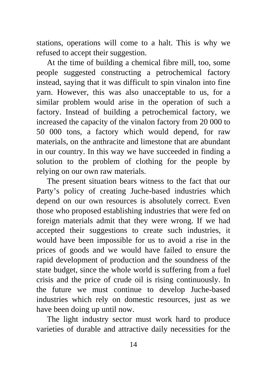stations, operations will come to a halt. This is why we refused to accept their suggestion.

At the time of building a chemical fibre mill, too, some people suggested constructing a petrochemical factory instead, saying that it was difficult to spin vinalon into fine yarn. However, this was also unacceptable to us, for a similar problem would arise in the operation of such a factory. Instead of building a petrochemical factory, we increased the capacity of the vinalon factory from 20 000 to 50 000 tons, a factory which would depend, for raw materials, on the anthracite and limestone that are abundant in our country. In this way we have succeeded in finding a solution to the problem of clothing for the people by relying on our own raw materials.

The present situation bears witness to the fact that our Party's policy of creating Juche-based industries which depend on our own resources is absolutely correct. Even those who proposed establishing industries that were fed on foreign materials admit that they were wrong. If we had accepted their suggestions to create such industries, it would have been impossible for us to avoid a rise in the prices of goods and we would have failed to ensure the rapid development of production and the soundness of the state budget, since the whole world is suffering from a fuel crisis and the price of crude oil is rising continuously. In the future we must continue to develop Juche-based industries which rely on domestic resources, just as we have been doing up until now.

The light industry sector must work hard to produce varieties of durable and attractive daily necessities for the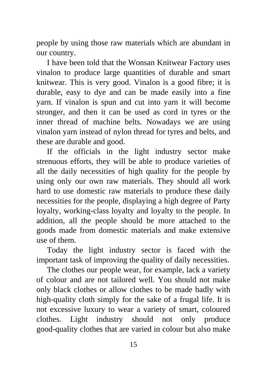people by using those raw materials which are abundant in our country.

I have been told that the Wonsan Knitwear Factory uses vinalon to produce large quantities of durable and smart knitwear. This is very good. Vinalon is a good fibre; it is durable, easy to dye and can be made easily into a fine yarn. If vinalon is spun and cut into yarn it will become stronger, and then it can be used as cord in tyres or the inner thread of machine belts. Nowadays we are using vinalon yarn instead of nylon thread for tyres and belts, and these are durable and good.

If the officials in the light industry sector make strenuous efforts, they will be able to produce varieties of all the daily necessities of high quality for the people by using only our own raw materials. They should all work hard to use domestic raw materials to produce these daily necessities for the people, displaying a high degree of Party loyalty, working-class loyalty and loyalty to the people. In addition, all the people should be more attached to the goods made from domestic materials and make extensive use of them.

Today the light industry sector is faced with the important task of improving the quality of daily necessities.

The clothes our people wear, for example, lack a variety of colour and are not tailored well. You should not make only black clothes or allow clothes to be made badly with high-quality cloth simply for the sake of a frugal life. It is not excessive luxury to wear a variety of smart, coloured clothes. Light industry should not only produce good-quality clothes that are varied in colour but also make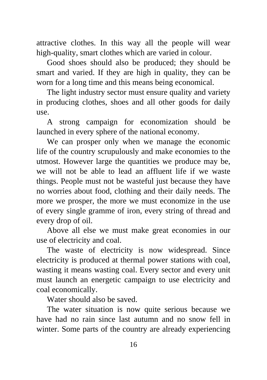attractive clothes. In this way all the people will wear high-quality, smart clothes which are varied in colour.

Good shoes should also be produced; they should be smart and varied. If they are high in quality, they can be worn for a long time and this means being economical.

The light industry sector must ensure quality and variety in producing clothes, shoes and all other goods for daily use.

A strong campaign for economization should be launched in every sphere of the national economy.

We can prosper only when we manage the economic life of the country scrupulously and make economies to the utmost. However large the quantities we produce may be, we will not be able to lead an affluent life if we waste things. People must not be wasteful just because they have no worries about food, clothing and their daily needs. The more we prosper, the more we must economize in the use of every single gramme of iron, every string of thread and every drop of oil.

Above all else we must make great economies in our use of electricity and coal.

The waste of electricity is now widespread. Since electricity is produced at thermal power stations with coal, wasting it means wasting coal. Every sector and every unit must launch an energetic campaign to use electricity and coal economically.

Water should also be saved.

The water situation is now quite serious because we have had no rain since last autumn and no snow fell in winter. Some parts of the country are already experiencing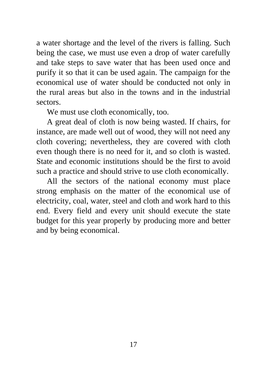a water shortage and the level of the rivers is falling. Such being the case, we must use even a drop of water carefully and take steps to save water that has been used once and purify it so that it can be used again. The campaign for the economical use of water should be conducted not only in the rural areas but also in the towns and in the industrial sectors.

We must use cloth economically, too.

A great deal of cloth is now being wasted. If chairs, for instance, are made well out of wood, they will not need any cloth covering; nevertheless, they are covered with cloth even though there is no need for it, and so cloth is wasted. State and economic institutions should be the first to avoid such a practice and should strive to use cloth economically.

All the sectors of the national economy must place strong emphasis on the matter of the economical use of electricity, coal, water, steel and cloth and work hard to this end. Every field and every unit should execute the state budget for this year properly by producing more and better and by being economical.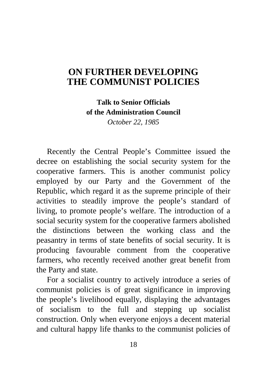### <span id="page-20-0"></span>**ON FURTHER DEVELOPING [THE COMMUNIST POLICIES](#page-2-0)**

**Talk to Senior Officials of the Administration Council**  *October 22, 1985* 

Recently the Central People's Committee issued the decree on establishing the social security system for the cooperative farmers. This is another communist policy employed by our Party and the Government of the Republic, which regard it as the supreme principle of their activities to steadily improve the people's standard of living, to promote people's welfare. The introduction of a social security system for the cooperative farmers abolished the distinctions between the working class and the peasantry in terms of state benefits of social security. It is producing favourable comment from the cooperative farmers, who recently received another great benefit from the Party and state.

For a socialist country to actively introduce a series of communist policies is of great significance in improving the people's livelihood equally, displaying the advantages of socialism to the full and stepping up socialist construction. Only when everyone enjoys a decent material and cultural happy life thanks to the communist policies of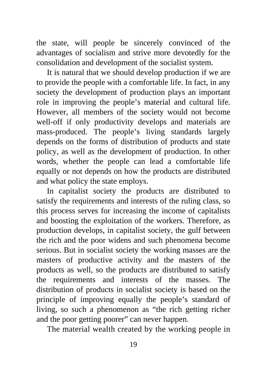the state, will people be sincerely convinced of the advantages of socialism and strive more devotedly for the consolidation and development of the socialist system.

It is natural that we should develop production if we are to provide the people with a comfortable life. In fact, in any society the development of production plays an important role in improving the people's material and cultural life. However, all members of the society would not become well-off if only productivity develops and materials are mass-produced. The people's living standards largely depends on the forms of distribution of products and state policy, as well as the development of production. In other words, whether the people can lead a comfortable life equally or not depends on how the products are distributed and what policy the state employs.

In capitalist society the products are distributed to satisfy the requirements and interests of the ruling class, so this process serves for increasing the income of capitalists and boosting the exploitation of the workers. Therefore, as production develops, in capitalist society, the gulf between the rich and the poor widens and such phenomena become serious. But in socialist society the working masses are the masters of productive activity and the masters of the products as well, so the products are distributed to satisfy the requirements and interests of the masses. The distribution of products in socialist society is based on the principle of improving equally the people's standard of living, so such a phenomenon as "the rich getting richer and the poor getting poorer" can never happen.

The material wealth created by the working people in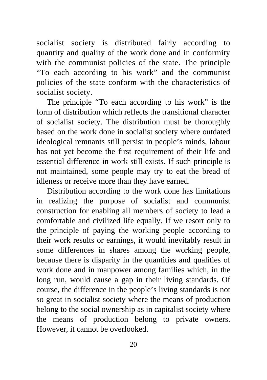socialist society is distributed fairly according to quantity and quality of the work done and in conformity with the communist policies of the state. The principle "To each according to his work" and the communist policies of the state conform with the characteristics of socialist society.

The principle "To each according to his work" is the form of distribution which reflects the transitional character of socialist society. The distribution must be thoroughly based on the work done in socialist society where outdated ideological remnants still persist in people's minds, labour has not yet become the first requirement of their life and essential difference in work still exists. If such principle is not maintained, some people may try to eat the bread of idleness or receive more than they have earned.

Distribution according to the work done has limitations in realizing the purpose of socialist and communist construction for enabling all members of society to lead a comfortable and civilized life equally. If we resort only to the principle of paying the working people according to their work results or earnings, it would inevitably result in some differences in shares among the working people, because there is disparity in the quantities and qualities of work done and in manpower among families which, in the long run, would cause a gap in their living standards. Of course, the difference in the people's living standards is not so great in socialist society where the means of production belong to the social ownership as in capitalist society where the means of production belong to private owners. However, it cannot be overlooked.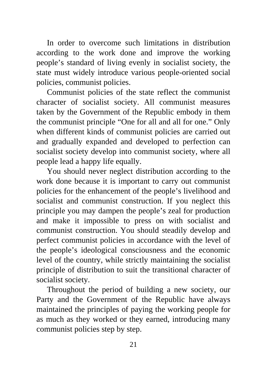In order to overcome such limitations in distribution according to the work done and improve the working people's standard of living evenly in socialist society, the state must widely introduce various people-oriented social policies, communist policies.

Communist policies of the state reflect the communist character of socialist society. All communist measures taken by the Government of the Republic embody in them the communist principle "One for all and all for one." Only when different kinds of communist policies are carried out and gradually expanded and developed to perfection can socialist society develop into communist society, where all people lead a happy life equally.

You should never neglect distribution according to the work done because it is important to carry out communist policies for the enhancement of the people's livelihood and socialist and communist construction. If you neglect this principle you may dampen the people's zeal for production and make it impossible to press on with socialist and communist construction. You should steadily develop and perfect communist policies in accordance with the level of the people's ideological consciousness and the economic level of the country, while strictly maintaining the socialist principle of distribution to suit the transitional character of socialist society.

Throughout the period of building a new society, our Party and the Government of the Republic have always maintained the principles of paying the working people for as much as they worked or they earned, introducing many communist policies step by step.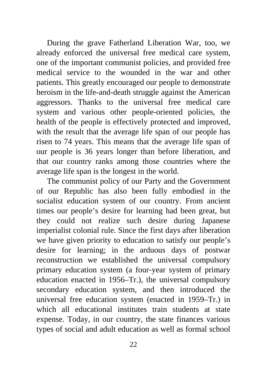During the grave Fatherland Liberation War, too, we already enforced the universal free medical care system, one of the important communist policies, and provided free medical service to the wounded in the war and other patients. This greatly encouraged our people to demonstrate heroism in the life-and-death struggle against the American aggressors. Thanks to the universal free medical care system and various other people-oriented policies, the health of the people is effectively protected and improved, with the result that the average life span of our people has risen to 74 years. This means that the average life span of our people is 36 years longer than before liberation, and that our country ranks among those countries where the average life span is the longest in the world.

The communist policy of our Party and the Government of our Republic has also been fully embodied in the socialist education system of our country. From ancient times our people's desire for learning had been great, but they could not realize such desire during Japanese imperialist colonial rule. Since the first days after liberation we have given priority to education to satisfy our people's desire for learning; in the arduous days of postwar reconstruction we established the universal compulsory primary education system (a four-year system of primary education enacted in 1956–Tr.), the universal compulsory secondary education system, and then introduced the universal free education system (enacted in 1959–Tr.) in which all educational institutes train students at state expense. Today, in our country, the state finances various types of social and adult education as well as formal school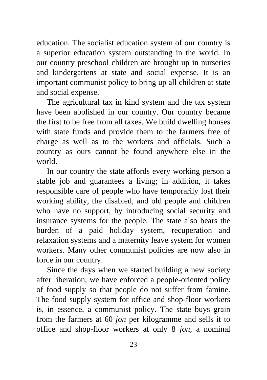education. The socialist education system of our country is a superior education system outstanding in the world. In our country preschool children are brought up in nurseries and kindergartens at state and social expense. It is an important communist policy to bring up all children at state and social expense.

The agricultural tax in kind system and the tax system have been abolished in our country. Our country became the first to be free from all taxes. We build dwelling houses with state funds and provide them to the farmers free of charge as well as to the workers and officials. Such a country as ours cannot be found anywhere else in the world.

In our country the state affords every working person a stable job and guarantees a living; in addition, it takes responsible care of people who have temporarily lost their working ability, the disabled, and old people and children who have no support, by introducing social security and insurance systems for the people. The state also bears the burden of a paid holiday system, recuperation and relaxation systems and a maternity leave system for women workers. Many other communist policies are now also in force in our country.

Since the days when we started building a new society after liberation, we have enforced a people-oriented policy of food supply so that people do not suffer from famine. The food supply system for office and shop-floor workers is, in essence, a communist policy. The state buys grain from the farmers at 60 *jon* per kilogramme and sells it to office and shop-floor workers at only 8 *jon,* a nominal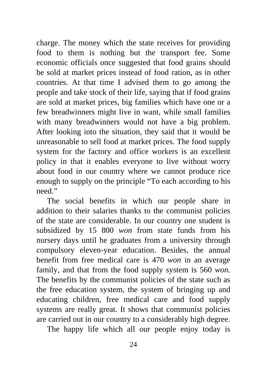charge. The money which the state receives for providing food to them is nothing but the transport fee. Some economic officials once suggested that food grains should be sold at market prices instead of food ration, as in other countries. At that time I advised them to go among the people and take stock of their life, saying that if food grains are sold at market prices, big families which have one or a few breadwinners might live in want, while small families with many breadwinners would not have a big problem. After looking into the situation, they said that it would be unreasonable to sell food at market prices. The food supply system for the factory and office workers is an excellent policy in that it enables everyone to live without worry about food in our country where we cannot produce rice enough to supply on the principle "To each according to his need"

The social benefits in which our people share in addition to their salaries thanks to the communist policies of the state are considerable. In our country one student is subsidized by 15 800 *won* from state funds from his nursery days until he graduates from a university through compulsory eleven-year education. Besides, the annual benefit from free medical care is 470 *won* in an average family, and that from the food supply system is 560 *won.* The benefits by the communist policies of the state such as the free education system, the system of bringing up and educating children, free medical care and food supply systems are really great. It shows that communist policies are carried out in our country to a considerably high degree.

The happy life which all our people enjoy today is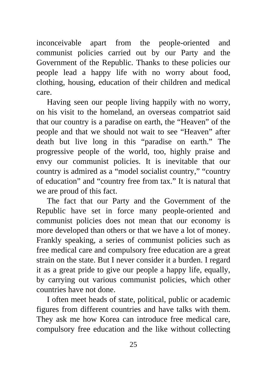inconceivable apart from the people-oriented and communist policies carried out by our Party and the Government of the Republic. Thanks to these policies our people lead a happy life with no worry about food, clothing, housing, education of their children and medical care.

Having seen our people living happily with no worry, on his visit to the homeland, an overseas compatriot said that our country is a paradise on earth, the "Heaven" of the people and that we should not wait to see "Heaven" after death but live long in this "paradise on earth." The progressive people of the world, too, highly praise and envy our communist policies. It is inevitable that our country is admired as a "model socialist country," "country of education" and "country free from tax." It is natural that we are proud of this fact.

The fact that our Party and the Government of the Republic have set in force many people-oriented and communist policies does not mean that our economy is more developed than others or that we have a lot of money. Frankly speaking, a series of communist policies such as free medical care and compulsory free education are a great strain on the state. But I never consider it a burden. I regard it as a great pride to give our people a happy life, equally, by carrying out various communist policies, which other countries have not done.

I often meet heads of state, political, public or academic figures from different countries and have talks with them. They ask me how Korea can introduce free medical care, compulsory free education and the like without collecting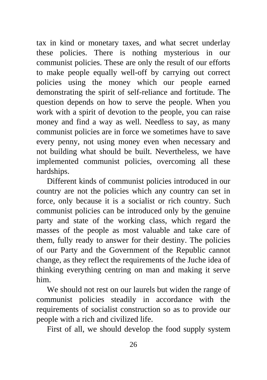tax in kind or monetary taxes, and what secret underlay these policies. There is nothing mysterious in our communist policies. These are only the result of our efforts to make people equally well-off by carrying out correct policies using the money which our people earned demonstrating the spirit of self-reliance and fortitude. The question depends on how to serve the people. When you work with a spirit of devotion to the people, you can raise money and find a way as well. Needless to say, as many communist policies are in force we sometimes have to save every penny, not using money even when necessary and not building what should be built. Nevertheless, we have implemented communist policies, overcoming all these hardships.

Different kinds of communist policies introduced in our country are not the policies which any country can set in force, only because it is a socialist or rich country. Such communist policies can be introduced only by the genuine party and state of the working class, which regard the masses of the people as most valuable and take care of them, fully ready to answer for their destiny. The policies of our Party and the Government of the Republic cannot change, as they reflect the requirements of the Juche idea of thinking everything centring on man and making it serve him.

We should not rest on our laurels but widen the range of communist policies steadily in accordance with the requirements of socialist construction so as to provide our people with a rich and civilized life.

First of all, we should develop the food supply system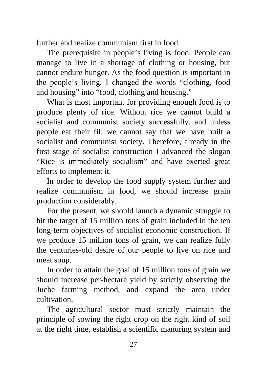further and realize communism first in food.

The prerequisite in people's living is food. People can manage to live in a shortage of clothing or housing, but cannot endure hunger. As the food question is important in the people's living, I changed the words "clothing, food and housing" into "food, clothing and housing."

What is most important for providing enough food is to produce plenty of rice. Without rice we cannot build a socialist and communist society successfully, and unless people eat their fill we cannot say that we have built a socialist and communist society. Therefore, already in the first stage of socialist construction I advanced the slogan "Rice is immediately socialism" and have exerted great efforts to implement it.

In order to develop the food supply system further and realize communism in food, we should increase grain production considerably.

For the present, we should launch a dynamic struggle to hit the target of 15 million tons of grain included in the ten long-term objectives of socialist economic construction. If we produce 15 million tons of grain, we can realize fully the centuries-old desire of our people to live on rice and meat soup.

In order to attain the goal of 15 million tons of grain we should increase per-hectare yield by strictly observing the Juche farming method, and expand the area under cultivation.

The agricultural sector must strictly maintain the principle of sowing the right crop on the right kind of soil at the right time, establish a scientific manuring system and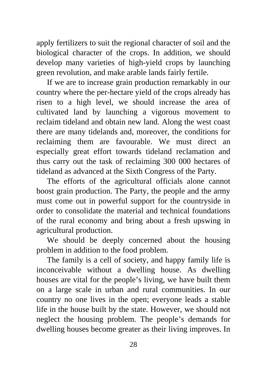apply fertilizers to suit the regional character of soil and the biological character of the crops. In addition, we should develop many varieties of high-yield crops by launching green revolution, and make arable lands fairly fertile.

If we are to increase grain production remarkably in our country where the per-hectare yield of the crops already has risen to a high level, we should increase the area of cultivated land by launching a vigorous movement to reclaim tideland and obtain new land. Along the west coast there are many tidelands and, moreover, the conditions for reclaiming them are favourable. We must direct an especially great effort towards tideland reclamation and thus carry out the task of reclaiming 300 000 hectares of tideland as advanced at the Sixth Congress of the Party.

The efforts of the agricultural officials alone cannot boost grain production. The Party, the people and the army must come out in powerful support for the countryside in order to consolidate the material and technical foundations of the rural economy and bring about a fresh upswing in agricultural production.

We should be deeply concerned about the housing problem in addition to the food problem.

The family is a cell of society, and happy family life is inconceivable without a dwelling house. As dwelling houses are vital for the people's living, we have built them on a large scale in urban and rural communities. In our country no one lives in the open; everyone leads a stable life in the house built by the state. However, we should not neglect the housing problem. The people's demands for dwelling houses become greater as their living improves. In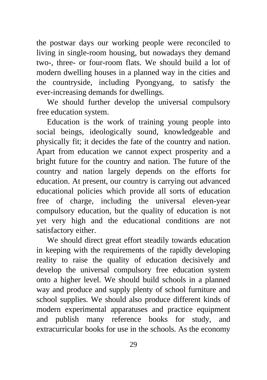the postwar days our working people were reconciled to living in single-room housing, but nowadays they demand two-, three- or four-room flats. We should build a lot of modern dwelling houses in a planned way in the cities and the countryside, including Pyongyang, to satisfy the ever-increasing demands for dwellings.

We should further develop the universal compulsory free education system.

Education is the work of training young people into social beings, ideologically sound, knowledgeable and physically fit; it decides the fate of the country and nation. Apart from education we cannot expect prosperity and a bright future for the country and nation. The future of the country and nation largely depends on the efforts for education. At present, our country is carrying out advanced educational policies which provide all sorts of education free of charge, including the universal eleven-year compulsory education, but the quality of education is not yet very high and the educational conditions are not satisfactory either.

We should direct great effort steadily towards education in keeping with the requirements of the rapidly developing reality to raise the quality of education decisively and develop the universal compulsory free education system onto a higher level. We should build schools in a planned way and produce and supply plenty of school furniture and school supplies. We should also produce different kinds of modern experimental apparatuses and practice equipment and publish many reference books for study, and extracurricular books for use in the schools. As the economy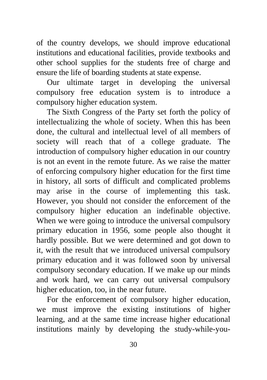of the country develops, we should improve educational institutions and educational facilities, provide textbooks and other school supplies for the students free of charge and ensure the life of boarding students at state expense.

Our ultimate target in developing the universal compulsory free education system is to introduce a compulsory higher education system.

The Sixth Congress of the Party set forth the policy of intellectualizing the whole of society. When this has been done, the cultural and intellectual level of all members of society will reach that of a college graduate. The introduction of compulsory higher education in our country is not an event in the remote future. As we raise the matter of enforcing compulsory higher education for the first time in history, all sorts of difficult and complicated problems may arise in the course of implementing this task. However, you should not consider the enforcement of the compulsory higher education an indefinable objective. When we were going to introduce the universal compulsory primary education in 1956, some people also thought it hardly possible. But we were determined and got down to it, with the result that we introduced universal compulsory primary education and it was followed soon by universal compulsory secondary education. If we make up our minds and work hard, we can carry out universal compulsory higher education, too, in the near future.

For the enforcement of compulsory higher education, we must improve the existing institutions of higher learning, and at the same time increase higher educational institutions mainly by developing the study-while-you-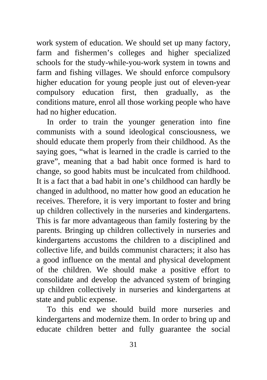work system of education. We should set up many factory, farm and fishermen's colleges and higher specialized schools for the study-while-you-work system in towns and farm and fishing villages. We should enforce compulsory higher education for young people just out of eleven-year compulsory education first, then gradually, as the conditions mature, enrol all those working people who have had no higher education.

In order to train the younger generation into fine communists with a sound ideological consciousness, we should educate them properly from their childhood. As the saying goes, "what is learned in the cradle is carried to the grave", meaning that a bad habit once formed is hard to change, so good habits must be inculcated from childhood. It is a fact that a bad habit in one's childhood can hardly be changed in adulthood, no matter how good an education he receives. Therefore, it is very important to foster and bring up children collectively in the nurseries and kindergartens. This is far more advantageous than family fostering by the parents. Bringing up children collectively in nurseries and kindergartens accustoms the children to a disciplined and collective life, and builds communist characters; it also has a good influence on the mental and physical development of the children. We should make a positive effort to consolidate and develop the advanced system of bringing up children collectively in nurseries and kindergartens at state and public expense.

To this end we should build more nurseries and kindergartens and modernize them. In order to bring up and educate children better and fully guarantee the social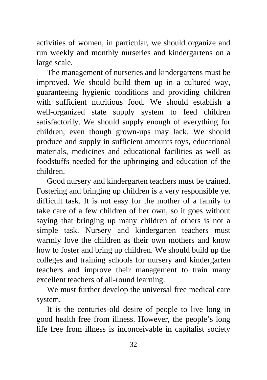activities of women, in particular, we should organize and run weekly and monthly nurseries and kindergartens on a large scale.

The management of nurseries and kindergartens must be improved. We should build them up in a cultured way, guaranteeing hygienic conditions and providing children with sufficient nutritious food. We should establish a well-organized state supply system to feed children satisfactorily. We should supply enough of everything for children, even though grown-ups may lack. We should produce and supply in sufficient amounts toys, educational materials, medicines and educational facilities as well as foodstuffs needed for the upbringing and education of the children.

Good nursery and kindergarten teachers must be trained. Fostering and bringing up children is a very responsible yet difficult task. It is not easy for the mother of a family to take care of a few children of her own, so it goes without saying that bringing up many children of others is not a simple task. Nursery and kindergarten teachers must warmly love the children as their own mothers and know how to foster and bring up children. We should build up the colleges and training schools for nursery and kindergarten teachers and improve their management to train many excellent teachers of all-round learning.

We must further develop the universal free medical care system.

It is the centuries-old desire of people to live long in good health free from illness. However, the people's long life free from illness is inconceivable in capitalist society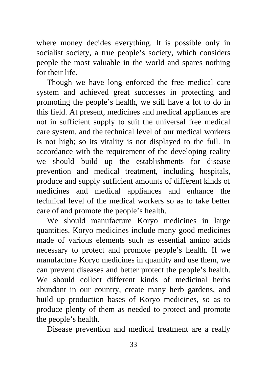where money decides everything. It is possible only in socialist society, a true people's society, which considers people the most valuable in the world and spares nothing for their life.

Though we have long enforced the free medical care system and achieved great successes in protecting and promoting the people's health, we still have a lot to do in this field. At present, medicines and medical appliances are not in sufficient supply to suit the universal free medical care system, and the technical level of our medical workers is not high; so its vitality is not displayed to the full. In accordance with the requirement of the developing reality we should build up the establishments for disease prevention and medical treatment, including hospitals, produce and supply sufficient amounts of different kinds of medicines and medical appliances and enhance the technical level of the medical workers so as to take better care of and promote the people's health.

We should manufacture Koryo medicines in large quantities. Koryo medicines include many good medicines made of various elements such as essential amino acids necessary to protect and promote people's health. If we manufacture Koryo medicines in quantity and use them, we can prevent diseases and better protect the people's health. We should collect different kinds of medicinal herbs abundant in our country, create many herb gardens, and build up production bases of Koryo medicines, so as to produce plenty of them as needed to protect and promote the people's health.

Disease prevention and medical treatment are a really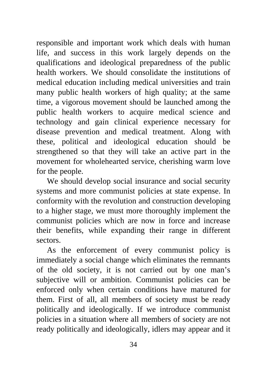responsible and important work which deals with human life, and success in this work largely depends on the qualifications and ideological preparedness of the public health workers. We should consolidate the institutions of medical education including medical universities and train many public health workers of high quality; at the same time, a vigorous movement should be launched among the public health workers to acquire medical science and technology and gain clinical experience necessary for disease prevention and medical treatment. Along with these, political and ideological education should be strengthened so that they will take an active part in the movement for wholehearted service, cherishing warm love for the people.

We should develop social insurance and social security systems and more communist policies at state expense. In conformity with the revolution and construction developing to a higher stage, we must more thoroughly implement the communist policies which are now in force and increase their benefits, while expanding their range in different sectors.

As the enforcement of every communist policy is immediately a social change which eliminates the remnants of the old society, it is not carried out by one man's subjective will or ambition. Communist policies can be enforced only when certain conditions have matured for them. First of all, all members of society must be ready politically and ideologically. If we introduce communist policies in a situation where all members of society are not ready politically and ideologically, idlers may appear and it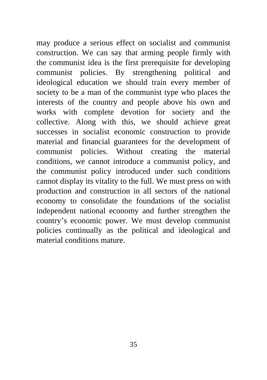may produce a serious effect on socialist and communist construction. We can say that arming people firmly with the communist idea is the first prerequisite for developing communist policies. By strengthening political and ideological education we should train every member of society to be a man of the communist type who places the interests of the country and people above his own and works with complete devotion for society and the collective. Along with this, we should achieve great successes in socialist economic construction to provide material and financial guarantees for the development of communist policies. Without creating the material conditions, we cannot introduce a communist policy, and the communist policy introduced under such conditions cannot display its vitality to the full. We must press on with production and construction in all sectors of the national economy to consolidate the foundations of the socialist independent national economy and further strengthen the country's economic power. We must develop communist policies continually as the political and ideological and material conditions mature.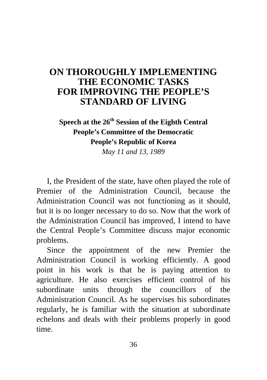## **[ON THOROUGHLY IMPLEMENTING](#page-2-0)  THE ECONOMIC TASKS FOR IMPROVING THE PEOPLE'S STANDARD OF LIVING**

## **Speech at the 26th Session of the Eighth Central People's Committee of the Democratic People's Republic of Korea**

*May 11 and 13, 1989* 

I, the President of the state, have often played the role of Premier of the Administration Council, because the Administration Council was not functioning as it should, but it is no longer necessary to do so. Now that the work of the Administration Council has improved, I intend to have the Central People's Committee discuss major economic problems.

Since the appointment of the new Premier the Administration Council is working efficiently. A good point in his work is that he is paying attention to agriculture. He also exercises efficient control of his subordinate units through the councillors of the Administration Council. As he supervises his subordinates regularly, he is familiar with the situation at subordinate echelons and deals with their problems properly in good time.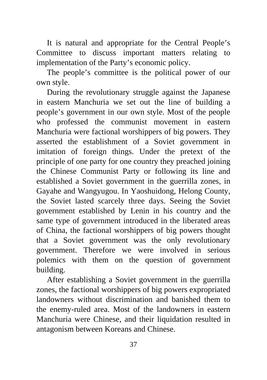It is natural and appropriate for the Central People's Committee to discuss important matters relating to implementation of the Party's economic policy.

The people's committee is the political power of our own style.

During the revolutionary struggle against the Japanese in eastern Manchuria we set out the line of building a people's government in our own style. Most of the people who professed the communist movement in eastern Manchuria were factional worshippers of big powers. They asserted the establishment of a Soviet government in imitation of foreign things. Under the pretext of the principle of one party for one country they preached joining the Chinese Communist Party or following its line and established a Soviet government in the guerrilla zones, in Gayahe and Wangyugou. In Yaoshuidong, Helong County, the Soviet lasted scarcely three days. Seeing the Soviet government established by Lenin in his country and the same type of government introduced in the liberated areas of China, the factional worshippers of big powers thought that a Soviet government was the only revolutionary government. Therefore we were involved in serious polemics with them on the question of government building.

After establishing a Soviet government in the guerrilla zones, the factional worshippers of big powers expropriated landowners without discrimination and banished them to the enemy-ruled area. Most of the landowners in eastern Manchuria were Chinese, and their liquidation resulted in antagonism between Koreans and Chinese.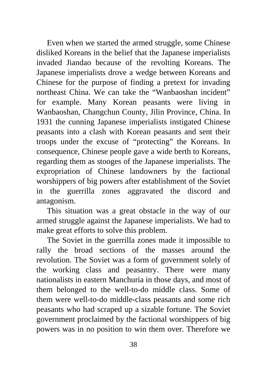Even when we started the armed struggle, some Chinese disliked Koreans in the belief that the Japanese imperialists invaded Jiandao because of the revolting Koreans. The Japanese imperialists drove a wedge between Koreans and Chinese for the purpose of finding a pretext for invading northeast China. We can take the "Wanbaoshan incident" for example. Many Korean peasants were living in Wanbaoshan, Changchun County, Jilin Province, China. In 1931 the cunning Japanese imperialists instigated Chinese peasants into a clash with Korean peasants and sent their troops under the excuse of "protecting" the Koreans. In consequence, Chinese people gave a wide berth to Koreans, regarding them as stooges of the Japanese imperialists. The expropriation of Chinese landowners by the factional worshippers of big powers after establishment of the Soviet in the guerrilla zones aggravated the discord and antagonism.

This situation was a great obstacle in the way of our armed struggle against the Japanese imperialists. We had to make great efforts to solve this problem.

The Soviet in the guerrilla zones made it impossible to rally the broad sections of the masses around the revolution. The Soviet was a form of government solely of the working class and peasantry. There were many nationalists in eastern Manchuria in those days, and most of them belonged to the well-to-do middle class. Some of them were well-to-do middle-class peasants and some rich peasants who had scraped up a sizable fortune. The Soviet government proclaimed by the factional worshippers of big powers was in no position to win them over. Therefore we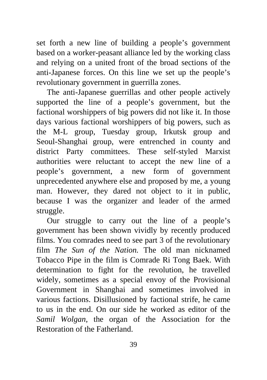set forth a new line of building a people's government based on a worker-peasant alliance led by the working class and relying on a united front of the broad sections of the anti-Japanese forces. On this line we set up the people's revolutionary government in guerrilla zones.

The anti-Japanese guerrillas and other people actively supported the line of a people's government, but the factional worshippers of big powers did not like it. In those days various factional worshippers of big powers, such as the M-L group, Tuesday group, Irkutsk group and Seoul-Shanghai group, were entrenched in county and district Party committees. These self-styled Marxist authorities were reluctant to accept the new line of a people's government, a new form of government unprecedented anywhere else and proposed by me, a young man. However, they dared not object to it in public, because I was the organizer and leader of the armed struggle.

Our struggle to carry out the line of a people's government has been shown vividly by recently produced films. You comrades need to see part 3 of the revolutionary film *The Sun of the Nation.* The old man nicknamed Tobacco Pipe in the film is Comrade Ri Tong Baek. With determination to fight for the revolution, he travelled widely, sometimes as a special envoy of the Provisional Government in Shanghai and sometimes involved in various factions. Disillusioned by factional strife, he came to us in the end. On our side he worked as editor of the *Samil Wolgan,* the organ of the Association for the Restoration of the Fatherland.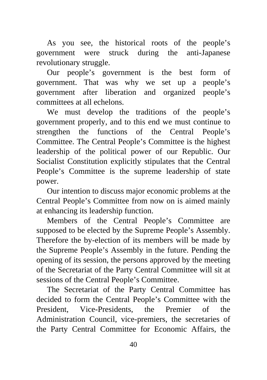As you see, the historical roots of the people's government were struck during the anti-Japanese revolutionary struggle.

Our people's government is the best form of government. That was why we set up a people's government after liberation and organized people's committees at all echelons.

We must develop the traditions of the people's government properly, and to this end we must continue to strengthen the functions of the Central People's Committee. The Central People's Committee is the highest leadership of the political power of our Republic. Our Socialist Constitution explicitly stipulates that the Central People's Committee is the supreme leadership of state power.

Our intention to discuss major economic problems at the Central People's Committee from now on is aimed mainly at enhancing its leadership function.

Members of the Central People's Committee are supposed to be elected by the Supreme People's Assembly. Therefore the by-election of its members will be made by the Supreme People's Assembly in the future. Pending the opening of its session, the persons approved by the meeting of the Secretariat of the Party Central Committee will sit at sessions of the Central People's Committee.

The Secretariat of the Party Central Committee has decided to form the Central People's Committee with the President, Vice-Presidents, the Premier of the Administration Council, vice-premiers, the secretaries of the Party Central Committee for Economic Affairs, the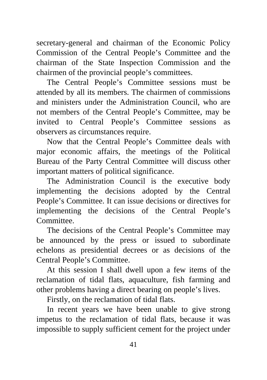secretary-general and chairman of the Economic Policy Commission of the Central People's Committee and the chairman of the State Inspection Commission and the chairmen of the provincial people's committees.

The Central People's Committee sessions must be attended by all its members. The chairmen of commissions and ministers under the Administration Council, who are not members of the Central People's Committee, may be invited to Central People's Committee sessions as observers as circumstances require.

Now that the Central People's Committee deals with major economic affairs, the meetings of the Political Bureau of the Party Central Committee will discuss other important matters of political significance.

The Administration Council is the executive body implementing the decisions adopted by the Central People's Committee. It can issue decisions or directives for implementing the decisions of the Central People's Committee.

The decisions of the Central People's Committee may be announced by the press or issued to subordinate echelons as presidential decrees or as decisions of the Central People's Committee.

At this session I shall dwell upon a few items of the reclamation of tidal flats, aquaculture, fish farming and other problems having a direct bearing on people's lives.

Firstly, on the reclamation of tidal flats.

In recent years we have been unable to give strong impetus to the reclamation of tidal flats, because it was impossible to supply sufficient cement for the project under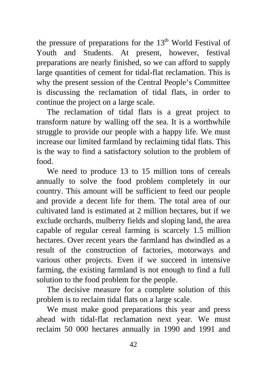the pressure of preparations for the  $13<sup>th</sup>$  World Festival of Youth and Students. At present, however, festival preparations are nearly finished, so we can afford to supply large quantities of cement for tidal-flat reclamation. This is why the present session of the Central People's Committee is discussing the reclamation of tidal flats, in order to continue the project on a large scale.

The reclamation of tidal flats is a great project to transform nature by walling off the sea. It is a worthwhile struggle to provide our people with a happy life. We must increase our limited farmland by reclaiming tidal flats. This is the way to find a satisfactory solution to the problem of food.

We need to produce 13 to 15 million tons of cereals annually to solve the food problem completely in our country. This amount will be sufficient to feed our people and provide a decent life for them. The total area of our cultivated land is estimated at 2 million hectares, but if we exclude orchards, mulberry fields and sloping land, the area capable of regular cereal farming is scarcely 1.5 million hectares. Over recent years the farmland has dwindled as a result of the construction of factories, motorways and various other projects. Even if we succeed in intensive farming, the existing farmland is not enough to find a full solution to the food problem for the people.

The decisive measure for a complete solution of this problem is to reclaim tidal flats on a large scale.

We must make good preparations this year and press ahead with tidal-flat reclamation next year. We must reclaim 50 000 hectares annually in 1990 and 1991 and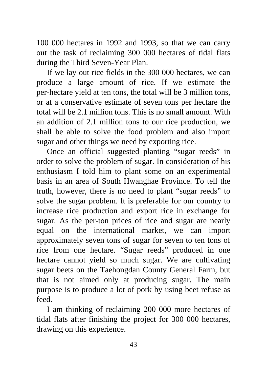100 000 hectares in 1992 and 1993, so that we can carry out the task of reclaiming 300 000 hectares of tidal flats during the Third Seven-Year Plan.

If we lay out rice fields in the 300 000 hectares, we can produce a large amount of rice. If we estimate the per-hectare yield at ten tons, the total will be 3 million tons, or at a conservative estimate of seven tons per hectare the total will be 2.1 million tons. This is no small amount. With an addition of 2.1 million tons to our rice production, we shall be able to solve the food problem and also import sugar and other things we need by exporting rice.

Once an official suggested planting "sugar reeds" in order to solve the problem of sugar. In consideration of his enthusiasm I told him to plant some on an experimental basis in an area of South Hwanghae Province. To tell the truth, however, there is no need to plant "sugar reeds" to solve the sugar problem. It is preferable for our country to increase rice production and export rice in exchange for sugar. As the per-ton prices of rice and sugar are nearly equal on the international market, we can import approximately seven tons of sugar for seven to ten tons of rice from one hectare. "Sugar reeds" produced in one hectare cannot yield so much sugar. We are cultivating sugar beets on the Taehongdan County General Farm, but that is not aimed only at producing sugar. The main purpose is to produce a lot of pork by using beet refuse as feed.

I am thinking of reclaiming 200 000 more hectares of tidal flats after finishing the project for 300 000 hectares, drawing on this experience.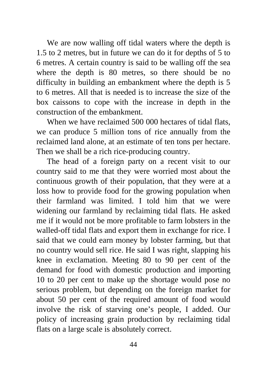We are now walling off tidal waters where the depth is 1.5 to 2 metres, but in future we can do it for depths of 5 to 6 metres. A certain country is said to be walling off the sea where the depth is 80 metres, so there should be no difficulty in building an embankment where the depth is 5 to 6 metres. All that is needed is to increase the size of the box caissons to cope with the increase in depth in the construction of the embankment.

When we have reclaimed 500 000 hectares of tidal flats, we can produce 5 million tons of rice annually from the reclaimed land alone, at an estimate of ten tons per hectare. Then we shall be a rich rice-producing country.

The head of a foreign party on a recent visit to our country said to me that they were worried most about the continuous growth of their population, that they were at a loss how to provide food for the growing population when their farmland was limited. I told him that we were widening our farmland by reclaiming tidal flats. He asked me if it would not be more profitable to farm lobsters in the walled-off tidal flats and export them in exchange for rice. I said that we could earn money by lobster farming, but that no country would sell rice. He said I was right, slapping his knee in exclamation. Meeting 80 to 90 per cent of the demand for food with domestic production and importing 10 to 20 per cent to make up the shortage would pose no serious problem, but depending on the foreign market for about 50 per cent of the required amount of food would involve the risk of starving one's people, I added. Our policy of increasing grain production by reclaiming tidal flats on a large scale is absolutely correct.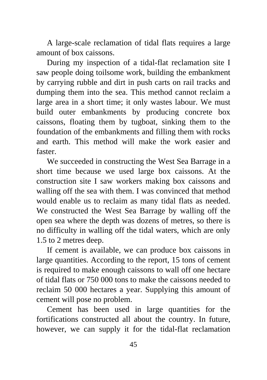A large-scale reclamation of tidal flats requires a large amount of box caissons.

During my inspection of a tidal-flat reclamation site I saw people doing toilsome work, building the embankment by carrying rubble and dirt in push carts on rail tracks and dumping them into the sea. This method cannot reclaim a large area in a short time; it only wastes labour. We must build outer embankments by producing concrete box caissons, floating them by tugboat, sinking them to the foundation of the embankments and filling them with rocks and earth. This method will make the work easier and faster.

We succeeded in constructing the West Sea Barrage in a short time because we used large box caissons. At the construction site I saw workers making box caissons and walling off the sea with them. I was convinced that method would enable us to reclaim as many tidal flats as needed. We constructed the West Sea Barrage by walling off the open sea where the depth was dozens of metres, so there is no difficulty in walling off the tidal waters, which are only 1.5 to 2 metres deep.

If cement is available, we can produce box caissons in large quantities. According to the report, 15 tons of cement is required to make enough caissons to wall off one hectare of tidal flats or 750 000 tons to make the caissons needed to reclaim 50 000 hectares a year. Supplying this amount of cement will pose no problem.

Cement has been used in large quantities for the fortifications constructed all about the country. In future, however, we can supply it for the tidal-flat reclamation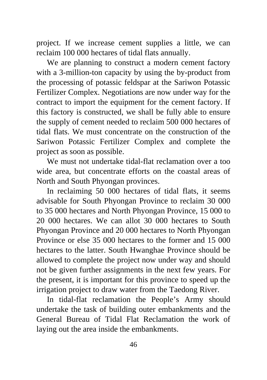project. If we increase cement supplies a little, we can reclaim 100 000 hectares of tidal flats annually.

We are planning to construct a modern cement factory with a 3-million-ton capacity by using the by-product from the processing of potassic feldspar at the Sariwon Potassic Fertilizer Complex. Negotiations are now under way for the contract to import the equipment for the cement factory. If this factory is constructed, we shall be fully able to ensure the supply of cement needed to reclaim 500 000 hectares of tidal flats. We must concentrate on the construction of the Sariwon Potassic Fertilizer Complex and complete the project as soon as possible.

We must not undertake tidal-flat reclamation over a too wide area, but concentrate efforts on the coastal areas of North and South Phyongan provinces.

In reclaiming 50 000 hectares of tidal flats, it seems advisable for South Phyongan Province to reclaim 30 000 to 35 000 hectares and North Phyongan Province, 15 000 to 20 000 hectares. We can allot 30 000 hectares to South Phyongan Province and 20 000 hectares to North Phyongan Province or else 35 000 hectares to the former and 15 000 hectares to the latter. South Hwanghae Province should be allowed to complete the project now under way and should not be given further assignments in the next few years. For the present, it is important for this province to speed up the irrigation project to draw water from the Taedong River.

In tidal-flat reclamation the People's Army should undertake the task of building outer embankments and the General Bureau of Tidal Flat Reclamation the work of laying out the area inside the embankments.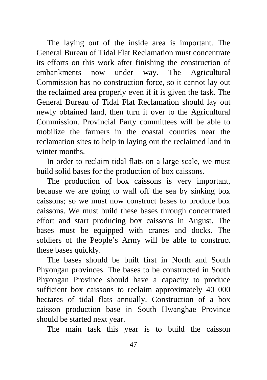The laying out of the inside area is important. The General Bureau of Tidal Flat Reclamation must concentrate its efforts on this work after finishing the construction of embankments now under way. The Agricultural Commission has no construction force, so it cannot lay out the reclaimed area properly even if it is given the task. The General Bureau of Tidal Flat Reclamation should lay out newly obtained land, then turn it over to the Agricultural Commission. Provincial Party committees will be able to mobilize the farmers in the coastal counties near the reclamation sites to help in laying out the reclaimed land in winter months.

In order to reclaim tidal flats on a large scale, we must build solid bases for the production of box caissons.

The production of box caissons is very important, because we are going to wall off the sea by sinking box caissons; so we must now construct bases to produce box caissons. We must build these bases through concentrated effort and start producing box caissons in August. The bases must be equipped with cranes and docks. The soldiers of the People's Army will be able to construct these bases quickly.

The bases should be built first in North and South Phyongan provinces. The bases to be constructed in South Phyongan Province should have a capacity to produce sufficient box caissons to reclaim approximately 40 000 hectares of tidal flats annually. Construction of a box caisson production base in South Hwanghae Province should be started next year.

The main task this year is to build the caisson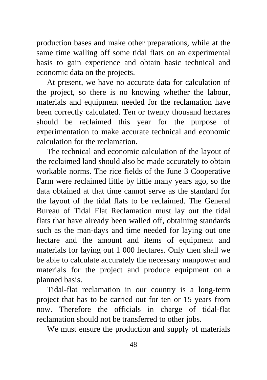production bases and make other preparations, while at the same time walling off some tidal flats on an experimental basis to gain experience and obtain basic technical and economic data on the projects.

At present, we have no accurate data for calculation of the project, so there is no knowing whether the labour, materials and equipment needed for the reclamation have been correctly calculated. Ten or twenty thousand hectares should be reclaimed this year for the purpose of experimentation to make accurate technical and economic calculation for the reclamation.

The technical and economic calculation of the layout of the reclaimed land should also be made accurately to obtain workable norms. The rice fields of the June 3 Cooperative Farm were reclaimed little by little many years ago, so the data obtained at that time cannot serve as the standard for the layout of the tidal flats to be reclaimed. The General Bureau of Tidal Flat Reclamation must lay out the tidal flats that have already been walled off, obtaining standards such as the man-days and time needed for laying out one hectare and the amount and items of equipment and materials for laying out 1 000 hectares. Only then shall we be able to calculate accurately the necessary manpower and materials for the project and produce equipment on a planned basis.

Tidal-flat reclamation in our country is a long-term project that has to be carried out for ten or 15 years from now. Therefore the officials in charge of tidal-flat reclamation should not be transferred to other jobs.

We must ensure the production and supply of materials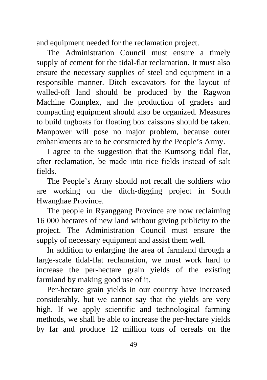and equipment needed for the reclamation project.

The Administration Council must ensure a timely supply of cement for the tidal-flat reclamation. It must also ensure the necessary supplies of steel and equipment in a responsible manner. Ditch excavators for the layout of walled-off land should be produced by the Ragwon Machine Complex, and the production of graders and compacting equipment should also be organized. Measures to build tugboats for floating box caissons should be taken. Manpower will pose no major problem, because outer embankments are to be constructed by the People's Army.

I agree to the suggestion that the Kumsong tidal flat, after reclamation, be made into rice fields instead of salt fields.

The People's Army should not recall the soldiers who are working on the ditch-digging project in South Hwanghae Province.

The people in Ryanggang Province are now reclaiming 16 000 hectares of new land without giving publicity to the project. The Administration Council must ensure the supply of necessary equipment and assist them well.

In addition to enlarging the area of farmland through a large-scale tidal-flat reclamation, we must work hard to increase the per-hectare grain yields of the existing farmland by making good use of it.

Per-hectare grain yields in our country have increased considerably, but we cannot say that the yields are very high. If we apply scientific and technological farming methods, we shall be able to increase the per-hectare yields by far and produce 12 million tons of cereals on the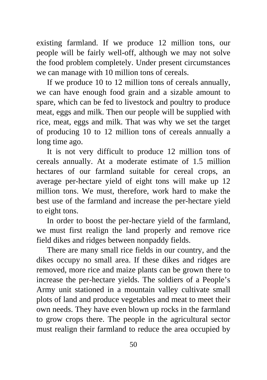existing farmland. If we produce 12 million tons, our people will be fairly well-off, although we may not solve the food problem completely. Under present circumstances we can manage with 10 million tons of cereals.

If we produce 10 to 12 million tons of cereals annually, we can have enough food grain and a sizable amount to spare, which can be fed to livestock and poultry to produce meat, eggs and milk. Then our people will be supplied with rice, meat, eggs and milk. That was why we set the target of producing 10 to 12 million tons of cereals annually a long time ago.

It is not very difficult to produce 12 million tons of cereals annually. At a moderate estimate of 1.5 million hectares of our farmland suitable for cereal crops, an average per-hectare yield of eight tons will make up 12 million tons. We must, therefore, work hard to make the best use of the farmland and increase the per-hectare yield to eight tons.

In order to boost the per-hectare yield of the farmland, we must first realign the land properly and remove rice field dikes and ridges between nonpaddy fields.

There are many small rice fields in our country, and the dikes occupy no small area. If these dikes and ridges are removed, more rice and maize plants can be grown there to increase the per-hectare yields. The soldiers of a People's Army unit stationed in a mountain valley cultivate small plots of land and produce vegetables and meat to meet their own needs. They have even blown up rocks in the farmland to grow crops there. The people in the agricultural sector must realign their farmland to reduce the area occupied by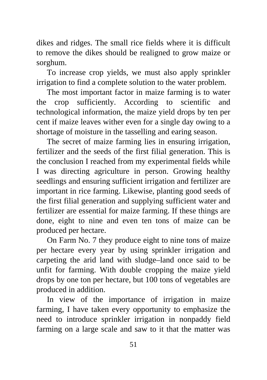dikes and ridges. The small rice fields where it is difficult to remove the dikes should be realigned to grow maize or sorghum.

To increase crop yields, we must also apply sprinkler irrigation to find a complete solution to the water problem.

The most important factor in maize farming is to water the crop sufficiently. According to scientific and technological information, the maize yield drops by ten per cent if maize leaves wither even for a single day owing to a shortage of moisture in the tasselling and earing season.

The secret of maize farming lies in ensuring irrigation, fertilizer and the seeds of the first filial generation. This is the conclusion I reached from my experimental fields while I was directing agriculture in person. Growing healthy seedlings and ensuring sufficient irrigation and fertilizer are important in rice farming. Likewise, planting good seeds of the first filial generation and supplying sufficient water and fertilizer are essential for maize farming. If these things are done, eight to nine and even ten tons of maize can be produced per hectare.

On Farm No. 7 they produce eight to nine tons of maize per hectare every year by using sprinkler irrigation and carpeting the arid land with sludge–land once said to be unfit for farming. With double cropping the maize yield drops by one ton per hectare, but 100 tons of vegetables are produced in addition.

In view of the importance of irrigation in maize farming, I have taken every opportunity to emphasize the need to introduce sprinkler irrigation in nonpaddy field farming on a large scale and saw to it that the matter was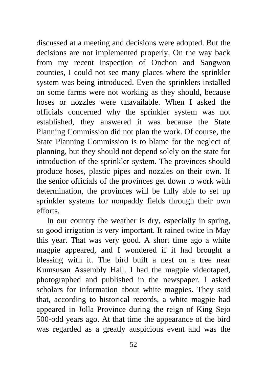discussed at a meeting and decisions were adopted. But the decisions are not implemented properly. On the way back from my recent inspection of Onchon and Sangwon counties, I could not see many places where the sprinkler system was being introduced. Even the sprinklers installed on some farms were not working as they should, because hoses or nozzles were unavailable. When I asked the officials concerned why the sprinkler system was not established, they answered it was because the State Planning Commission did not plan the work. Of course, the State Planning Commission is to blame for the neglect of planning, but they should not depend solely on the state for introduction of the sprinkler system. The provinces should produce hoses, plastic pipes and nozzles on their own. If the senior officials of the provinces get down to work with determination, the provinces will be fully able to set up sprinkler systems for nonpaddy fields through their own efforts.

In our country the weather is dry, especially in spring, so good irrigation is very important. It rained twice in May this year. That was very good. A short time ago a white magpie appeared, and I wondered if it had brought a blessing with it. The bird built a nest on a tree near Kumsusan Assembly Hall. I had the magpie videotaped, photographed and published in the newspaper. I asked scholars for information about white magpies. They said that, according to historical records, a white magpie had appeared in Jolla Province during the reign of King Sejo 500-odd years ago. At that time the appearance of the bird was regarded as a greatly auspicious event and was the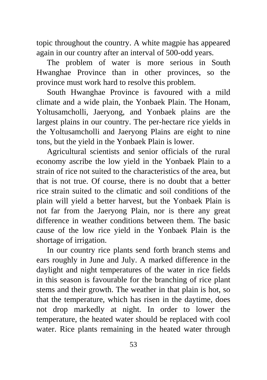topic throughout the country. A white magpie has appeared again in our country after an interval of 500-odd years.

The problem of water is more serious in South Hwanghae Province than in other provinces, so the province must work hard to resolve this problem.

South Hwanghae Province is favoured with a mild climate and a wide plain, the Yonbaek Plain. The Honam, Yoltusamcholli, Jaeryong, and Yonbaek plains are the largest plains in our country. The per-hectare rice yields in the Yoltusamcholli and Jaeryong Plains are eight to nine tons, but the yield in the Yonbaek Plain is lower.

Agricultural scientists and senior officials of the rural economy ascribe the low yield in the Yonbaek Plain to a strain of rice not suited to the characteristics of the area, but that is not true. Of course, there is no doubt that a better rice strain suited to the climatic and soil conditions of the plain will yield a better harvest, but the Yonbaek Plain is not far from the Jaeryong Plain, nor is there any great difference in weather conditions between them. The basic cause of the low rice yield in the Yonbaek Plain is the shortage of irrigation.

In our country rice plants send forth branch stems and ears roughly in June and July. A marked difference in the daylight and night temperatures of the water in rice fields in this season is favourable for the branching of rice plant stems and their growth. The weather in that plain is hot, so that the temperature, which has risen in the daytime, does not drop markedly at night. In order to lower the temperature, the heated water should be replaced with cool water. Rice plants remaining in the heated water through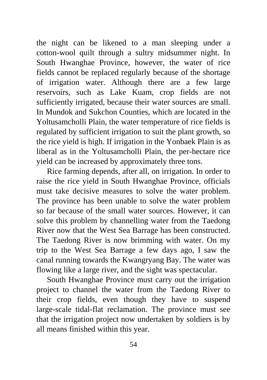the night can be likened to a man sleeping under a cotton-wool quilt through a sultry midsummer night. In South Hwanghae Province, however, the water of rice fields cannot be replaced regularly because of the shortage of irrigation water. Although there are a few large reservoirs, such as Lake Kuam, crop fields are not sufficiently irrigated, because their water sources are small. In Mundok and Sukchon Counties, which are located in the Yoltusamcholli Plain, the water temperature of rice fields is regulated by sufficient irrigation to suit the plant growth, so the rice yield is high. If irrigation in the Yonbaek Plain is as liberal as in the Yoltusamcholli Plain, the per-hectare rice yield can be increased by approximately three tons.

Rice farming depends, after all, on irrigation. In order to raise the rice yield in South Hwanghae Province, officials must take decisive measures to solve the water problem. The province has been unable to solve the water problem so far because of the small water sources. However, it can solve this problem by channelling water from the Taedong River now that the West Sea Barrage has been constructed. The Taedong River is now brimming with water. On my trip to the West Sea Barrage a few days ago, I saw the canal running towards the Kwangryang Bay. The water was flowing like a large river, and the sight was spectacular.

South Hwanghae Province must carry out the irrigation project to channel the water from the Taedong River to their crop fields, even though they have to suspend large-scale tidal-flat reclamation. The province must see that the irrigation project now undertaken by soldiers is by all means finished within this year.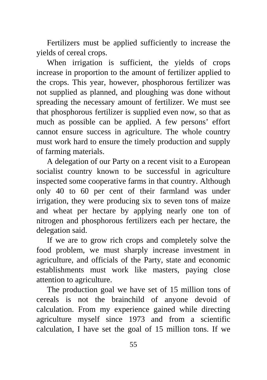Fertilizers must be applied sufficiently to increase the yields of cereal crops.

When irrigation is sufficient, the yields of crops increase in proportion to the amount of fertilizer applied to the crops. This year, however, phosphorous fertilizer was not supplied as planned, and ploughing was done without spreading the necessary amount of fertilizer. We must see that phosphorous fertilizer is supplied even now, so that as much as possible can be applied. A few persons' effort cannot ensure success in agriculture. The whole country must work hard to ensure the timely production and supply of farming materials.

A delegation of our Party on a recent visit to a European socialist country known to be successful in agriculture inspected some cooperative farms in that country. Although only 40 to 60 per cent of their farmland was under irrigation, they were producing six to seven tons of maize and wheat per hectare by applying nearly one ton of nitrogen and phosphorous fertilizers each per hectare, the delegation said.

If we are to grow rich crops and completely solve the food problem, we must sharply increase investment in agriculture, and officials of the Party, state and economic establishments must work like masters, paying close attention to agriculture.

The production goal we have set of 15 million tons of cereals is not the brainchild of anyone devoid of calculation. From my experience gained while directing agriculture myself since 1973 and from a scientific calculation, I have set the goal of 15 million tons. If we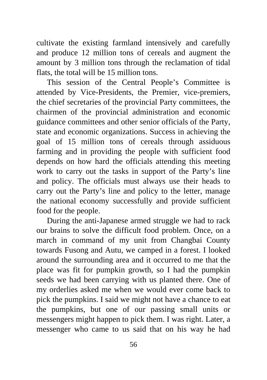cultivate the existing farmland intensively and carefully and produce 12 million tons of cereals and augment the amount by 3 million tons through the reclamation of tidal flats, the total will be 15 million tons.

This session of the Central People's Committee is attended by Vice-Presidents, the Premier, vice-premiers, the chief secretaries of the provincial Party committees, the chairmen of the provincial administration and economic guidance committees and other senior officials of the Party, state and economic organizations. Success in achieving the goal of 15 million tons of cereals through assiduous farming and in providing the people with sufficient food depends on how hard the officials attending this meeting work to carry out the tasks in support of the Party's line and policy. The officials must always use their heads to carry out the Party's line and policy to the letter, manage the national economy successfully and provide sufficient food for the people.

During the anti-Japanese armed struggle we had to rack our brains to solve the difficult food problem. Once, on a march in command of my unit from Changbai County towards Fusong and Autu, we camped in a forest. I looked around the surrounding area and it occurred to me that the place was fit for pumpkin growth, so I had the pumpkin seeds we had been carrying with us planted there. One of my orderlies asked me when we would ever come back to pick the pumpkins. I said we might not have a chance to eat the pumpkins, but one of our passing small units or messengers might happen to pick them. I was right. Later, a messenger who came to us said that on his way he had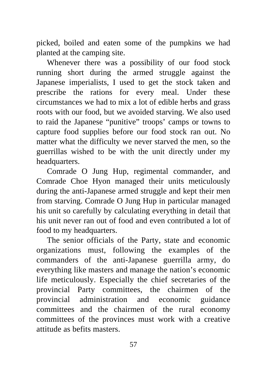picked, boiled and eaten some of the pumpkins we had planted at the camping site.

Whenever there was a possibility of our food stock running short during the armed struggle against the Japanese imperialists, I used to get the stock taken and prescribe the rations for every meal. Under these circumstances we had to mix a lot of edible herbs and grass roots with our food, but we avoided starving. We also used to raid the Japanese "punitive" troops' camps or towns to capture food supplies before our food stock ran out. No matter what the difficulty we never starved the men, so the guerrillas wished to be with the unit directly under my headquarters.

Comrade O Jung Hup, regimental commander, and Comrade Choe Hyon managed their units meticulously during the anti-Japanese armed struggle and kept their men from starving. Comrade O Jung Hup in particular managed his unit so carefully by calculating everything in detail that his unit never ran out of food and even contributed a lot of food to my headquarters.

The senior officials of the Party, state and economic organizations must, following the examples of the commanders of the anti-Japanese guerrilla army, do everything like masters and manage the nation's economic life meticulously. Especially the chief secretaries of the provincial Party committees, the chairmen of the provincial administration and economic guidance committees and the chairmen of the rural economy committees of the provinces must work with a creative attitude as befits masters.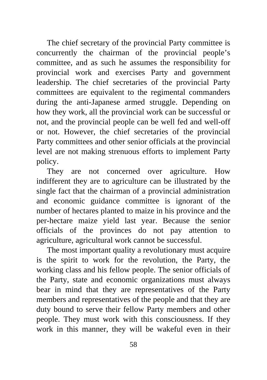The chief secretary of the provincial Party committee is concurrently the chairman of the provincial people's committee, and as such he assumes the responsibility for provincial work and exercises Party and government leadership. The chief secretaries of the provincial Party committees are equivalent to the regimental commanders during the anti-Japanese armed struggle. Depending on how they work, all the provincial work can be successful or not, and the provincial people can be well fed and well-off or not. However, the chief secretaries of the provincial Party committees and other senior officials at the provincial level are not making strenuous efforts to implement Party policy.

They are not concerned over agriculture. How indifferent they are to agriculture can be illustrated by the single fact that the chairman of a provincial administration and economic guidance committee is ignorant of the number of hectares planted to maize in his province and the per-hectare maize yield last year. Because the senior officials of the provinces do not pay attention to agriculture, agricultural work cannot be successful.

The most important quality a revolutionary must acquire is the spirit to work for the revolution, the Party, the working class and his fellow people. The senior officials of the Party, state and economic organizations must always bear in mind that they are representatives of the Party members and representatives of the people and that they are duty bound to serve their fellow Party members and other people. They must work with this consciousness. If they work in this manner, they will be wakeful even in their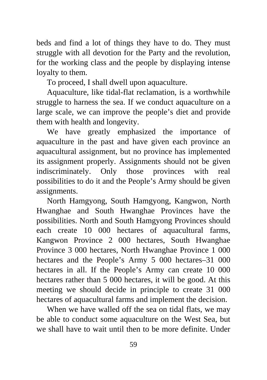beds and find a lot of things they have to do. They must struggle with all devotion for the Party and the revolution, for the working class and the people by displaying intense loyalty to them.

To proceed, I shall dwell upon aquaculture.

Aquaculture, like tidal-flat reclamation, is a worthwhile struggle to harness the sea. If we conduct aquaculture on a large scale, we can improve the people's diet and provide them with health and longevity.

We have greatly emphasized the importance of aquaculture in the past and have given each province an aquacultural assignment, but no province has implemented its assignment properly. Assignments should not be given indiscriminately. Only those provinces with real possibilities to do it and the People's Army should be given assignments.

North Hamgyong, South Hamgyong, Kangwon, North Hwanghae and South Hwanghae Provinces have the possibilities. North and South Hamgyong Provinces should each create 10 000 hectares of aquacultural farms, Kangwon Province 2 000 hectares, South Hwanghae Province 3 000 hectares, North Hwanghae Province 1 000 hectares and the People's Army 5 000 hectares–31 000 hectares in all. If the People's Army can create 10 000 hectares rather than 5 000 hectares, it will be good. At this meeting we should decide in principle to create 31 000 hectares of aquacultural farms and implement the decision.

When we have walled off the sea on tidal flats, we may be able to conduct some aquaculture on the West Sea, but we shall have to wait until then to be more definite. Under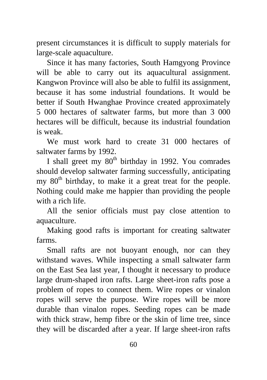present circumstances it is difficult to supply materials for large-scale aquaculture.

Since it has many factories, South Hamgyong Province will be able to carry out its aquacultural assignment. Kangwon Province will also be able to fulfil its assignment, because it has some industrial foundations. It would be better if South Hwanghae Province created approximately 5 000 hectares of saltwater farms, but more than 3 000 hectares will be difficult, because its industrial foundation is weak.

We must work hard to create 31 000 hectares of saltwater farms by 1992.

I shall greet my  $80<sup>th</sup>$  birthday in 1992. You comrades should develop saltwater farming successfully, anticipating my  $80<sup>th</sup>$  birthday, to make it a great treat for the people. Nothing could make me happier than providing the people with a rich life.

All the senior officials must pay close attention to aquaculture.

Making good rafts is important for creating saltwater farms.

Small rafts are not buoyant enough, nor can they withstand waves. While inspecting a small saltwater farm on the East Sea last year, I thought it necessary to produce large drum-shaped iron rafts. Large sheet-iron rafts pose a problem of ropes to connect them. Wire ropes or vinalon ropes will serve the purpose. Wire ropes will be more durable than vinalon ropes. Seeding ropes can be made with thick straw, hemp fibre or the skin of lime tree, since they will be discarded after a year. If large sheet-iron rafts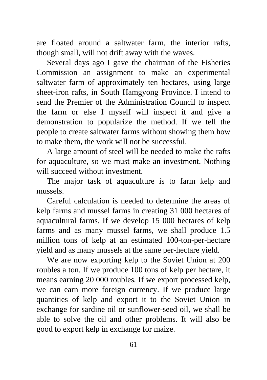are floated around a saltwater farm, the interior rafts, though small, will not drift away with the waves.

Several days ago I gave the chairman of the Fisheries Commission an assignment to make an experimental saltwater farm of approximately ten hectares, using large sheet-iron rafts, in South Hamgyong Province. I intend to send the Premier of the Administration Council to inspect the farm or else I myself will inspect it and give a demonstration to popularize the method. If we tell the people to create saltwater farms without showing them how to make them, the work will not be successful.

A large amount of steel will be needed to make the rafts for aquaculture, so we must make an investment. Nothing will succeed without investment.

The major task of aquaculture is to farm kelp and mussels.

Careful calculation is needed to determine the areas of kelp farms and mussel farms in creating 31 000 hectares of aquacultural farms. If we develop 15 000 hectares of kelp farms and as many mussel farms, we shall produce 1.5 million tons of kelp at an estimated 100-ton-per-hectare yield and as many mussels at the same per-hectare yield.

We are now exporting kelp to the Soviet Union at 200 roubles a ton. If we produce 100 tons of kelp per hectare, it means earning 20 000 roubles*.* If we export processed kelp, we can earn more foreign currency. If we produce large quantities of kelp and export it to the Soviet Union in exchange for sardine oil or sunflower-seed oil, we shall be able to solve the oil and other problems. It will also be good to export kelp in exchange for maize.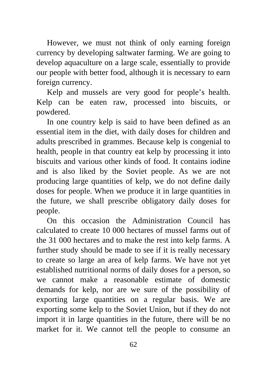However, we must not think of only earning foreign currency by developing saltwater farming. We are going to develop aquaculture on a large scale, essentially to provide our people with better food, although it is necessary to earn foreign currency.

Kelp and mussels are very good for people's health. Kelp can be eaten raw, processed into biscuits, or powdered.

In one country kelp is said to have been defined as an essential item in the diet, with daily doses for children and adults prescribed in grammes. Because kelp is congenial to health, people in that country eat kelp by processing it into biscuits and various other kinds of food. It contains iodine and is also liked by the Soviet people. As we are not producing large quantities of kelp, we do not define daily doses for people. When we produce it in large quantities in the future, we shall prescribe obligatory daily doses for people.

On this occasion the Administration Council has calculated to create 10 000 hectares of mussel farms out of the 31 000 hectares and to make the rest into kelp farms. A further study should be made to see if it is really necessary to create so large an area of kelp farms. We have not yet established nutritional norms of daily doses for a person, so we cannot make a reasonable estimate of domestic demands for kelp, nor are we sure of the possibility of exporting large quantities on a regular basis. We are exporting some kelp to the Soviet Union, but if they do not import it in large quantities in the future, there will be no market for it. We cannot tell the people to consume an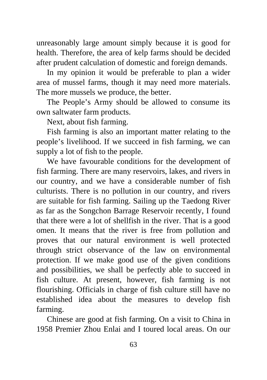unreasonably large amount simply because it is good for health. Therefore, the area of kelp farms should be decided after prudent calculation of domestic and foreign demands.

In my opinion it would be preferable to plan a wider area of mussel farms, though it may need more materials. The more mussels we produce, the better.

The People's Army should be allowed to consume its own saltwater farm products.

Next, about fish farming.

Fish farming is also an important matter relating to the people's livelihood. If we succeed in fish farming, we can supply a lot of fish to the people.

We have favourable conditions for the development of fish farming. There are many reservoirs, lakes, and rivers in our country, and we have a considerable number of fish culturists. There is no pollution in our country, and rivers are suitable for fish farming. Sailing up the Taedong River as far as the Songchon Barrage Reservoir recently, I found that there were a lot of shellfish in the river. That is a good omen. It means that the river is free from pollution and proves that our natural environment is well protected through strict observance of the law on environmental protection. If we make good use of the given conditions and possibilities, we shall be perfectly able to succeed in fish culture. At present, however, fish farming is not flourishing. Officials in charge of fish culture still have no established idea about the measures to develop fish farming.

Chinese are good at fish farming. On a visit to China in 1958 Premier Zhou Enlai and I toured local areas. On our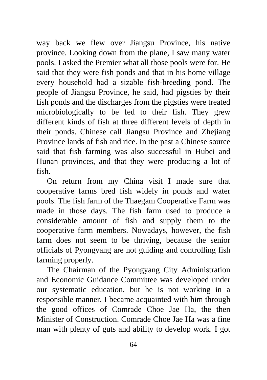way back we flew over Jiangsu Province, his native province. Looking down from the plane, I saw many water pools. I asked the Premier what all those pools were for. He said that they were fish ponds and that in his home village every household had a sizable fish-breeding pond. The people of Jiangsu Province, he said, had pigsties by their fish ponds and the discharges from the pigsties were treated microbiologically to be fed to their fish. They grew different kinds of fish at three different levels of depth in their ponds. Chinese call Jiangsu Province and Zhejiang Province lands of fish and rice. In the past a Chinese source said that fish farming was also successful in Hubei and Hunan provinces, and that they were producing a lot of fish.

On return from my China visit I made sure that cooperative farms bred fish widely in ponds and water pools. The fish farm of the Thaegam Cooperative Farm was made in those days. The fish farm used to produce a considerable amount of fish and supply them to the cooperative farm members. Nowadays, however, the fish farm does not seem to be thriving, because the senior officials of Pyongyang are not guiding and controlling fish farming properly.

The Chairman of the Pyongyang City Administration and Economic Guidance Committee was developed under our systematic education, but he is not working in a responsible manner. I became acquainted with him through the good offices of Comrade Choe Jae Ha, the then Minister of Construction. Comrade Choe Jae Ha was a fine man with plenty of guts and ability to develop work. I got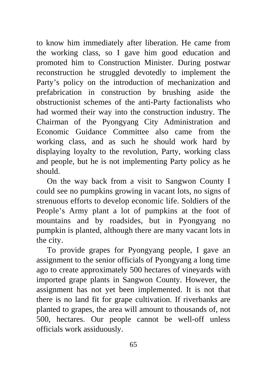to know him immediately after liberation. He came from the working class, so I gave him good education and promoted him to Construction Minister. During postwar reconstruction he struggled devotedly to implement the Party's policy on the introduction of mechanization and prefabrication in construction by brushing aside the obstructionist schemes of the anti-Party factionalists who had wormed their way into the construction industry. The Chairman of the Pyongyang City Administration and Economic Guidance Committee also came from the working class, and as such he should work hard by displaying loyalty to the revolution, Party, working class and people, but he is not implementing Party policy as he should.

On the way back from a visit to Sangwon County I could see no pumpkins growing in vacant lots, no signs of strenuous efforts to develop economic life. Soldiers of the People's Army plant a lot of pumpkins at the foot of mountains and by roadsides, but in Pyongyang no pumpkin is planted, although there are many vacant lots in the city.

To provide grapes for Pyongyang people, I gave an assignment to the senior officials of Pyongyang a long time ago to create approximately 500 hectares of vineyards with imported grape plants in Sangwon County. However, the assignment has not yet been implemented. It is not that there is no land fit for grape cultivation. If riverbanks are planted to grapes, the area will amount to thousands of, not 500, hectares. Our people cannot be well-off unless officials work assiduously.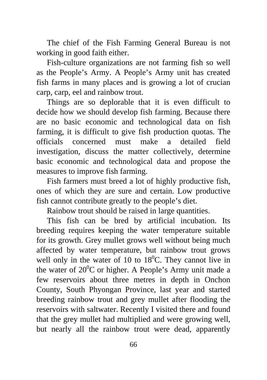The chief of the Fish Farming General Bureau is not working in good faith either.

Fish-culture organizations are not farming fish so well as the People's Army. A People's Army unit has created fish farms in many places and is growing a lot of crucian carp, carp, eel and rainbow trout.

Things are so deplorable that it is even difficult to decide how we should develop fish farming. Because there are no basic economic and technological data on fish farming, it is difficult to give fish production quotas. The officials concerned must make a detailed field investigation, discuss the matter collectively, determine basic economic and technological data and propose the measures to improve fish farming.

Fish farmers must breed a lot of highly productive fish, ones of which they are sure and certain. Low productive fish cannot contribute greatly to the people's diet.

Rainbow trout should be raised in large quantities.

This fish can be bred by artificial incubation. Its breeding requires keeping the water temperature suitable for its growth. Grey mullet grows well without being much affected by water temperature, but rainbow trout grows well only in the water of 10 to  $18^{\circ}$ C. They cannot live in the water of  $20^0$ C or higher. A People's Army unit made a few reservoirs about three metres in depth in Onchon County, South Phyongan Province, last year and started breeding rainbow trout and grey mullet after flooding the reservoirs with saltwater. Recently I visited there and found that the grey mullet had multiplied and were growing well, but nearly all the rainbow trout were dead, apparently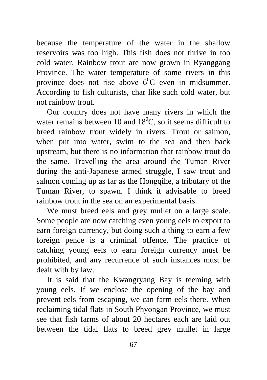because the temperature of the water in the shallow reservoirs was too high. This fish does not thrive in too cold water. Rainbow trout are now grown in Ryanggang Province. The water temperature of some rivers in this province does not rise above  $6^{\circ}$ C even in midsummer. According to fish culturists, char like such cold water, but not rainbow trout.

Our country does not have many rivers in which the water remains between 10 and  $18^{\circ}$ C, so it seems difficult to breed rainbow trout widely in rivers. Trout or salmon, when put into water, swim to the sea and then back upstream, but there is no information that rainbow trout do the same. Travelling the area around the Tuman River during the anti-Japanese armed struggle, I saw trout and salmon coming up as far as the Hongqihe, a tributary of the Tuman River, to spawn. I think it advisable to breed rainbow trout in the sea on an experimental basis.

We must breed eels and grey mullet on a large scale. Some people are now catching even young eels to export to earn foreign currency, but doing such a thing to earn a few foreign pence is a criminal offence. The practice of catching young eels to earn foreign currency must be prohibited, and any recurrence of such instances must be dealt with by law.

It is said that the Kwangryang Bay is teeming with young eels. If we enclose the opening of the bay and prevent eels from escaping, we can farm eels there. When reclaiming tidal flats in South Phyongan Province, we must see that fish farms of about 20 hectares each are laid out between the tidal flats to breed grey mullet in large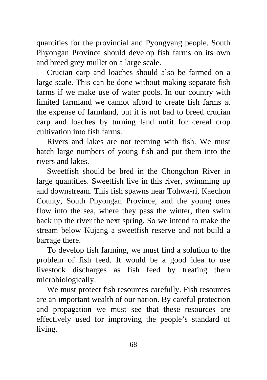quantities for the provincial and Pyongyang people. South Phyongan Province should develop fish farms on its own and breed grey mullet on a large scale.

Crucian carp and loaches should also be farmed on a large scale. This can be done without making separate fish farms if we make use of water pools. In our country with limited farmland we cannot afford to create fish farms at the expense of farmland, but it is not bad to breed crucian carp and loaches by turning land unfit for cereal crop cultivation into fish farms.

Rivers and lakes are not teeming with fish. We must hatch large numbers of young fish and put them into the rivers and lakes.

Sweetfish should be bred in the Chongchon River in large quantities. Sweetfish live in this river, swimming up and downstream. This fish spawns near Tohwa-ri, Kaechon County, South Phyongan Province, and the young ones flow into the sea, where they pass the winter, then swim back up the river the next spring. So we intend to make the stream below Kujang a sweetfish reserve and not build a barrage there.

To develop fish farming, we must find a solution to the problem of fish feed. It would be a good idea to use livestock discharges as fish feed by treating them microbiologically.

We must protect fish resources carefully. Fish resources are an important wealth of our nation. By careful protection and propagation we must see that these resources are effectively used for improving the people's standard of living.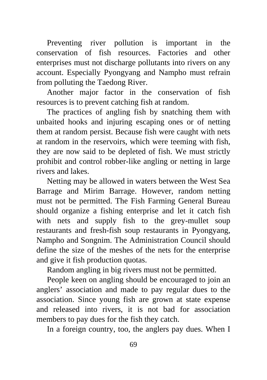Preventing river pollution is important in the conservation of fish resources. Factories and other enterprises must not discharge pollutants into rivers on any account. Especially Pyongyang and Nampho must refrain from polluting the Taedong River.

Another major factor in the conservation of fish resources is to prevent catching fish at random.

The practices of angling fish by snatching them with unbaited hooks and injuring escaping ones or of netting them at random persist. Because fish were caught with nets at random in the reservoirs, which were teeming with fish, they are now said to be depleted of fish. We must strictly prohibit and control robber-like angling or netting in large rivers and lakes.

Netting may be allowed in waters between the West Sea Barrage and Mirim Barrage. However, random netting must not be permitted. The Fish Farming General Bureau should organize a fishing enterprise and let it catch fish with nets and supply fish to the grey-mullet soup restaurants and fresh-fish soup restaurants in Pyongyang, Nampho and Songnim. The Administration Council should define the size of the meshes of the nets for the enterprise and give it fish production quotas.

Random angling in big rivers must not be permitted.

People keen on angling should be encouraged to join an anglers' association and made to pay regular dues to the association. Since young fish are grown at state expense and released into rivers, it is not bad for association members to pay dues for the fish they catch.

In a foreign country, too, the anglers pay dues. When I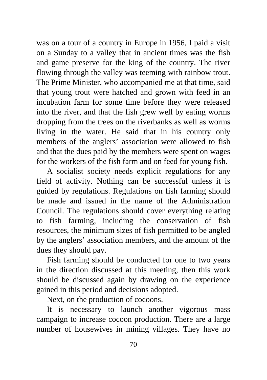was on a tour of a country in Europe in 1956, I paid a visit on a Sunday to a valley that in ancient times was the fish and game preserve for the king of the country. The river flowing through the valley was teeming with rainbow trout. The Prime Minister, who accompanied me at that time, said that young trout were hatched and grown with feed in an incubation farm for some time before they were released into the river, and that the fish grew well by eating worms dropping from the trees on the riverbanks as well as worms living in the water. He said that in his country only members of the anglers' association were allowed to fish and that the dues paid by the members were spent on wages for the workers of the fish farm and on feed for young fish.

A socialist society needs explicit regulations for any field of activity. Nothing can be successful unless it is guided by regulations. Regulations on fish farming should be made and issued in the name of the Administration Council. The regulations should cover everything relating to fish farming, including the conservation of fish resources, the minimum sizes of fish permitted to be angled by the anglers' association members, and the amount of the dues they should pay.

Fish farming should be conducted for one to two years in the direction discussed at this meeting, then this work should be discussed again by drawing on the experience gained in this period and decisions adopted.

Next, on the production of cocoons.

It is necessary to launch another vigorous mass campaign to increase cocoon production. There are a large number of housewives in mining villages. They have no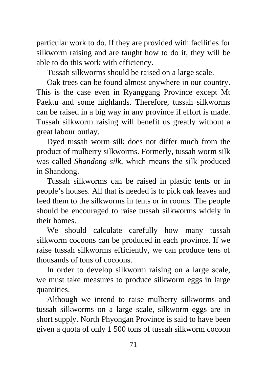particular work to do. If they are provided with facilities for silkworm raising and are taught how to do it, they will be able to do this work with efficiency.

Tussah silkworms should be raised on a large scale.

Oak trees can be found almost anywhere in our country. This is the case even in Ryanggang Province except Mt Paektu and some highlands. Therefore, tussah silkworms can be raised in a big way in any province if effort is made. Tussah silkworm raising will benefit us greatly without a great labour outlay.

Dyed tussah worm silk does not differ much from the product of mulberry silkworms. Formerly, tussah worm silk was called *Shandong silk*, which means the silk produced in Shandong.

Tussah silkworms can be raised in plastic tents or in people's houses. All that is needed is to pick oak leaves and feed them to the silkworms in tents or in rooms. The people should be encouraged to raise tussah silkworms widely in their homes.

We should calculate carefully how many tussah silkworm cocoons can be produced in each province. If we raise tussah silkworms efficiently, we can produce tens of thousands of tons of cocoons.

In order to develop silkworm raising on a large scale, we must take measures to produce silkworm eggs in large quantities.

Although we intend to raise mulberry silkworms and tussah silkworms on a large scale, silkworm eggs are in short supply. North Phyongan Province is said to have been given a quota of only 1 500 tons of tussah silkworm cocoon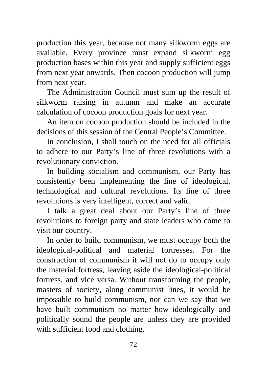production this year, because not many silkworm eggs are available. Every province must expand silkworm egg production bases within this year and supply sufficient eggs from next year onwards. Then cocoon production will jump from next year.

The Administration Council must sum up the result of silkworm raising in autumn and make an accurate calculation of cocoon production goals for next year.

An item on cocoon production should be included in the decisions of this session of the Central People's Committee.

In conclusion, I shall touch on the need for all officials to adhere to our Party's line of three revolutions with a revolutionary conviction.

In building socialism and communism, our Party has consistently been implementing the line of ideological, technological and cultural revolutions. Its line of three revolutions is very intelligent, correct and valid.

I talk a great deal about our Party's line of three revolutions to foreign party and state leaders who come to visit our country.

In order to build communism, we must occupy both the ideological-political and material fortresses. For the construction of communism it will not do to occupy only the material fortress, leaving aside the ideological-political fortress, and vice versa. Without transforming the people, masters of society, along communist lines, it would be impossible to build communism, nor can we say that we have built communism no matter how ideologically and politically sound the people are unless they are provided with sufficient food and clothing.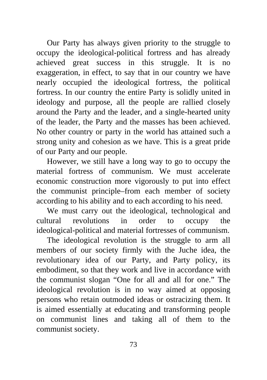Our Party has always given priority to the struggle to occupy the ideological-political fortress and has already achieved great success in this struggle. It is no exaggeration, in effect, to say that in our country we have nearly occupied the ideological fortress, the political fortress. In our country the entire Party is solidly united in ideology and purpose, all the people are rallied closely around the Party and the leader, and a single-hearted unity of the leader, the Party and the masses has been achieved. No other country or party in the world has attained such a strong unity and cohesion as we have. This is a great pride of our Party and our people.

However, we still have a long way to go to occupy the material fortress of communism. We must accelerate economic construction more vigorously to put into effect the communist principle–from each member of society according to his ability and to each according to his need.

We must carry out the ideological, technological and cultural revolutions in order to occupy the ideological-political and material fortresses of communism.

The ideological revolution is the struggle to arm all members of our society firmly with the Juche idea, the revolutionary idea of our Party, and Party policy, its embodiment, so that they work and live in accordance with the communist slogan "One for all and all for one." The ideological revolution is in no way aimed at opposing persons who retain outmoded ideas or ostracizing them. It is aimed essentially at educating and transforming people on communist lines and taking all of them to the communist society.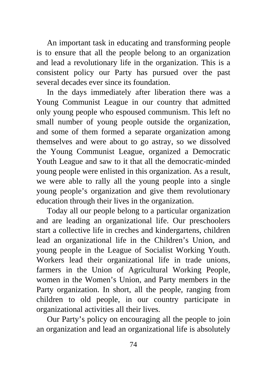An important task in educating and transforming people is to ensure that all the people belong to an organization and lead a revolutionary life in the organization. This is a consistent policy our Party has pursued over the past several decades ever since its foundation.

In the days immediately after liberation there was a Young Communist League in our country that admitted only young people who espoused communism. This left no small number of young people outside the organization, and some of them formed a separate organization among themselves and were about to go astray, so we dissolved the Young Communist League, organized a Democratic Youth League and saw to it that all the democratic-minded young people were enlisted in this organization. As a result, we were able to rally all the young people into a single young people's organization and give them revolutionary education through their lives in the organization.

Today all our people belong to a particular organization and are leading an organizational life. Our preschoolers start a collective life in creches and kindergartens, children lead an organizational life in the Children's Union, and young people in the League of Socialist Working Youth. Workers lead their organizational life in trade unions, farmers in the Union of Agricultural Working People, women in the Women's Union, and Party members in the Party organization. In short, all the people, ranging from children to old people, in our country participate in organizational activities all their lives.

Our Party's policy on encouraging all the people to join an organization and lead an organizational life is absolutely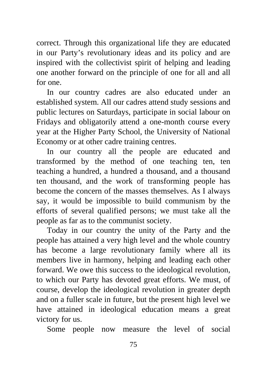correct. Through this organizational life they are educated in our Party's revolutionary ideas and its policy and are inspired with the collectivist spirit of helping and leading one another forward on the principle of one for all and all for one.

In our country cadres are also educated under an established system. All our cadres attend study sessions and public lectures on Saturdays, participate in social labour on Fridays and obligatorily attend a one-month course every year at the Higher Party School, the University of National Economy or at other cadre training centres.

In our country all the people are educated and transformed by the method of one teaching ten, ten teaching a hundred, a hundred a thousand, and a thousand ten thousand, and the work of transforming people has become the concern of the masses themselves. As I always say, it would be impossible to build communism by the efforts of several qualified persons; we must take all the people as far as to the communist society.

Today in our country the unity of the Party and the people has attained a very high level and the whole country has become a large revolutionary family where all its members live in harmony, helping and leading each other forward. We owe this success to the ideological revolution, to which our Party has devoted great efforts. We must, of course, develop the ideological revolution in greater depth and on a fuller scale in future, but the present high level we have attained in ideological education means a great victory for us.

Some people now measure the level of social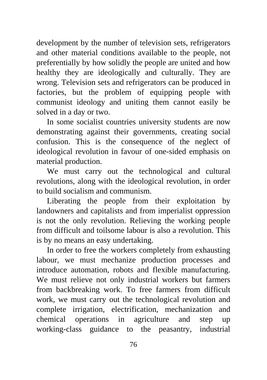development by the number of television sets, refrigerators and other material conditions available to the people, not preferentially by how solidly the people are united and how healthy they are ideologically and culturally. They are wrong. Television sets and refrigerators can be produced in factories, but the problem of equipping people with communist ideology and uniting them cannot easily be solved in a day or two.

In some socialist countries university students are now demonstrating against their governments, creating social confusion. This is the consequence of the neglect of ideological revolution in favour of one-sided emphasis on material production.

We must carry out the technological and cultural revolutions, along with the ideological revolution, in order to build socialism and communism.

Liberating the people from their exploitation by landowners and capitalists and from imperialist oppression is not the only revolution. Relieving the working people from difficult and toilsome labour is also a revolution. This is by no means an easy undertaking.

In order to free the workers completely from exhausting labour, we must mechanize production processes and introduce automation, robots and flexible manufacturing. We must relieve not only industrial workers but farmers from backbreaking work. To free farmers from difficult work, we must carry out the technological revolution and complete irrigation, electrification, mechanization and chemical operations in agriculture and step up working-class guidance to the peasantry, industrial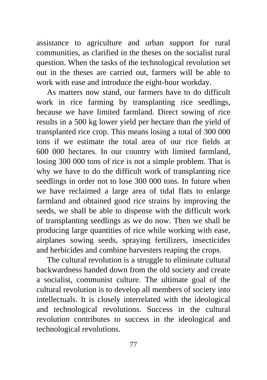assistance to agriculture and urban support for rural communities, as clarified in the theses on the socialist rural question. When the tasks of the technological revolution set out in the theses are carried out, farmers will be able to work with ease and introduce the eight-hour workday.

As matters now stand, our farmers have to do difficult work in rice farming by transplanting rice seedlings, because we have limited farmland. Direct sowing of rice results in a 500 kg lower yield per hectare than the yield of transplanted rice crop. This means losing a total of 300 000 tons if we estimate the total area of our rice fields at 600 000 hectares. In our country with limited farmland, losing 300 000 tons of rice is not a simple problem. That is why we have to do the difficult work of transplanting rice seedlings in order not to lose 300 000 tons. In future when we have reclaimed a large area of tidal flats to enlarge farmland and obtained good rice strains by improving the seeds, we shall be able to dispense with the difficult work of transplanting seedlings as we do now. Then we shall be producing large quantities of rice while working with ease, airplanes sowing seeds, spraying fertilizers, insecticides and herbicides and combine harvesters reaping the crops.

The cultural revolution is a struggle to eliminate cultural backwardness handed down from the old society and create a socialist, communist culture. The ultimate goal of the cultural revolution is to develop all members of society into intellectuals. It is closely interrelated with the ideological and technological revolutions. Success in the cultural revolution contributes to success in the ideological and technological revolutions.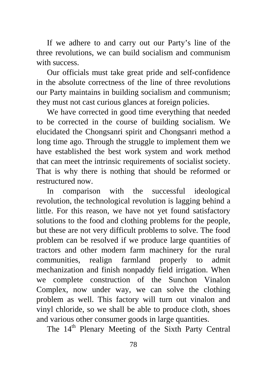If we adhere to and carry out our Party's line of the three revolutions, we can build socialism and communism with success.

Our officials must take great pride and self-confidence in the absolute correctness of the line of three revolutions our Party maintains in building socialism and communism; they must not cast curious glances at foreign policies.

We have corrected in good time everything that needed to be corrected in the course of building socialism. We elucidated the Chongsanri spirit and Chongsanri method a long time ago. Through the struggle to implement them we have established the best work system and work method that can meet the intrinsic requirements of socialist society. That is why there is nothing that should be reformed or restructured now.

In comparison with the successful ideological revolution, the technological revolution is lagging behind a little. For this reason, we have not yet found satisfactory solutions to the food and clothing problems for the people, but these are not very difficult problems to solve. The food problem can be resolved if we produce large quantities of tractors and other modern farm machinery for the rural communities, realign farmland properly to admit mechanization and finish nonpaddy field irrigation. When we complete construction of the Sunchon Vinalon Complex, now under way, we can solve the clothing problem as well. This factory will turn out vinalon and vinyl chloride, so we shall be able to produce cloth, shoes and various other consumer goods in large quantities.

The 14<sup>th</sup> Plenary Meeting of the Sixth Party Central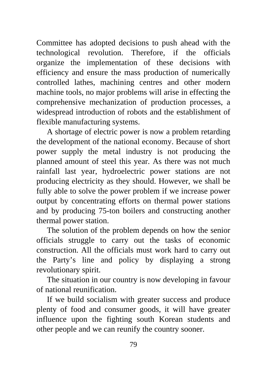Committee has adopted decisions to push ahead with the technological revolution. Therefore, if the officials organize the implementation of these decisions with efficiency and ensure the mass production of numerically controlled lathes, machining centres and other modern machine tools, no major problems will arise in effecting the comprehensive mechanization of production processes, a widespread introduction of robots and the establishment of flexible manufacturing systems.

A shortage of electric power is now a problem retarding the development of the national economy. Because of short power supply the metal industry is not producing the planned amount of steel this year. As there was not much rainfall last year, hydroelectric power stations are not producing electricity as they should. However, we shall be fully able to solve the power problem if we increase power output by concentrating efforts on thermal power stations and by producing 75-ton boilers and constructing another thermal power station.

The solution of the problem depends on how the senior officials struggle to carry out the tasks of economic construction. All the officials must work hard to carry out the Party's line and policy by displaying a strong revolutionary spirit.

The situation in our country is now developing in favour of national reunification.

If we build socialism with greater success and produce plenty of food and consumer goods, it will have greater influence upon the fighting south Korean students and other people and we can reunify the country sooner.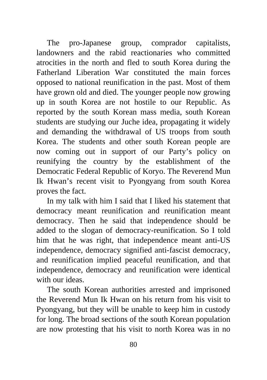The pro-Japanese group, comprador capitalists, landowners and the rabid reactionaries who committed atrocities in the north and fled to south Korea during the Fatherland Liberation War constituted the main forces opposed to national reunification in the past. Most of them have grown old and died. The younger people now growing up in south Korea are not hostile to our Republic. As reported by the south Korean mass media, south Korean students are studying our Juche idea, propagating it widely and demanding the withdrawal of US troops from south Korea. The students and other south Korean people are now coming out in support of our Party's policy on reunifying the country by the establishment of the Democratic Federal Republic of Koryo. The Reverend Mun Ik Hwan's recent visit to Pyongyang from south Korea proves the fact.

In my talk with him I said that I liked his statement that democracy meant reunification and reunification meant democracy. Then he said that independence should be added to the slogan of democracy-reunification. So I told him that he was right, that independence meant anti-US independence, democracy signified anti-fascist democracy, and reunification implied peaceful reunification, and that independence, democracy and reunification were identical with our ideas

The south Korean authorities arrested and imprisoned the Reverend Mun Ik Hwan on his return from his visit to Pyongyang, but they will be unable to keep him in custody for long. The broad sections of the south Korean population are now protesting that his visit to north Korea was in no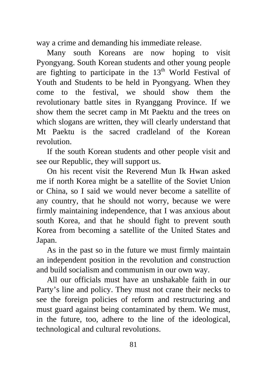way a crime and demanding his immediate release.

Many south Koreans are now hoping to visit Pyongyang. South Korean students and other young people are fighting to participate in the  $13<sup>th</sup>$  World Festival of Youth and Students to be held in Pyongyang. When they come to the festival, we should show them the revolutionary battle sites in Ryanggang Province. If we show them the secret camp in Mt Paektu and the trees on which slogans are written, they will clearly understand that Mt Paektu is the sacred cradleland of the Korean revolution.

If the south Korean students and other people visit and see our Republic, they will support us.

On his recent visit the Reverend Mun Ik Hwan asked me if north Korea might be a satellite of the Soviet Union or China, so I said we would never become a satellite of any country, that he should not worry, because we were firmly maintaining independence, that I was anxious about south Korea, and that he should fight to prevent south Korea from becoming a satellite of the United States and Japan.

As in the past so in the future we must firmly maintain an independent position in the revolution and construction and build socialism and communism in our own way.

All our officials must have an unshakable faith in our Party's line and policy. They must not crane their necks to see the foreign policies of reform and restructuring and must guard against being contaminated by them. We must, in the future, too, adhere to the line of the ideological, technological and cultural revolutions.